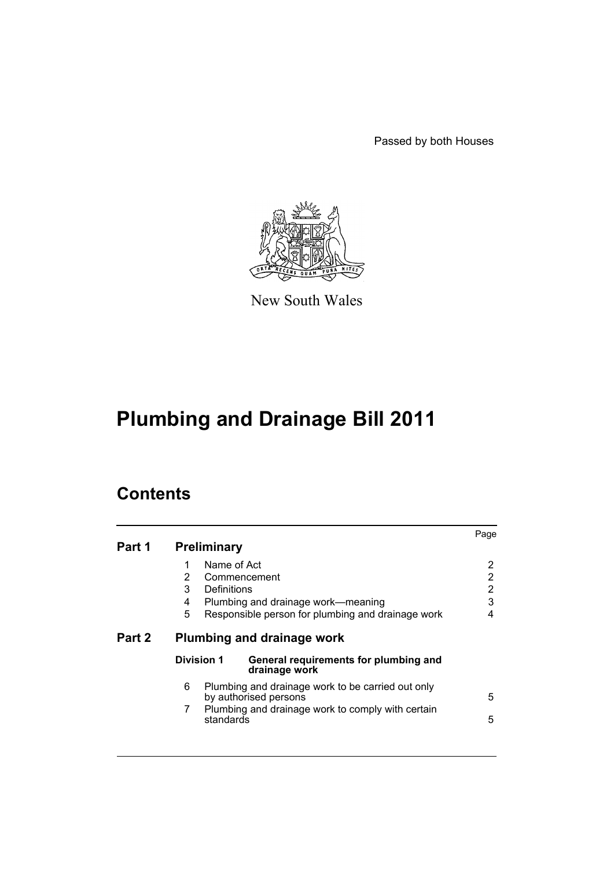Passed by both Houses



New South Wales

# **Plumbing and Drainage Bill 2011**

## **Contents**

| Part 1 | <b>Preliminary</b>                                  |                                                                                                                                 | Page                               |  |
|--------|-----------------------------------------------------|---------------------------------------------------------------------------------------------------------------------------------|------------------------------------|--|
|        | Name of Act<br>1<br>2<br>3<br>Definitions<br>4<br>5 | Commencement<br>Plumbing and drainage work-meaning<br>Responsible person for plumbing and drainage work                         | 2<br>2<br>$\overline{2}$<br>3<br>4 |  |
| Part 2 | Plumbing and drainage work                          |                                                                                                                                 |                                    |  |
|        | <b>Division 1</b>                                   | General requirements for plumbing and<br>drainage work                                                                          |                                    |  |
|        | 6<br>7<br>standards                                 | Plumbing and drainage work to be carried out only<br>by authorised persons<br>Plumbing and drainage work to comply with certain | 5<br>5                             |  |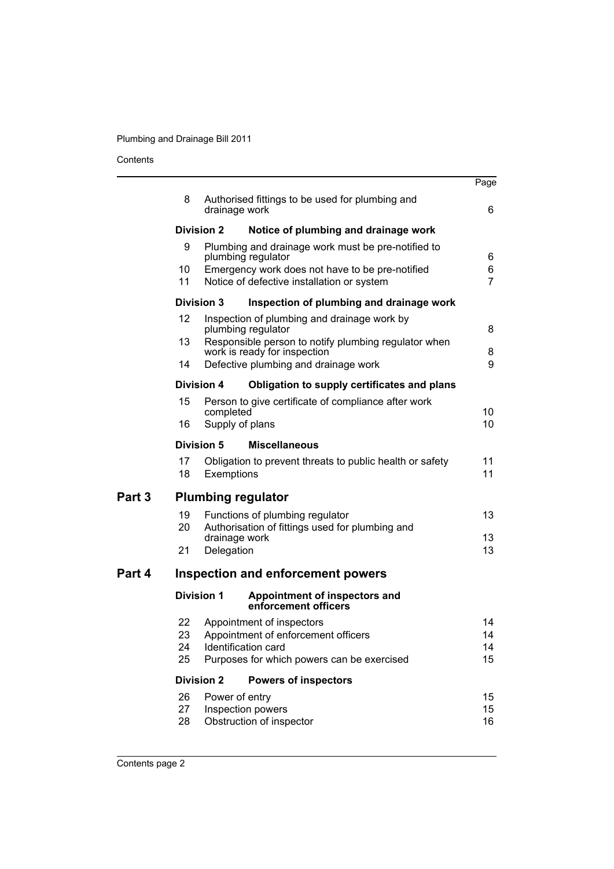### Contents

|                                    |                                                                                                     |                                                             | Page                                                                                                                                                                                                                                                                                                                                                                                                                                                                                                                                                                                                                                                                |
|------------------------------------|-----------------------------------------------------------------------------------------------------|-------------------------------------------------------------|---------------------------------------------------------------------------------------------------------------------------------------------------------------------------------------------------------------------------------------------------------------------------------------------------------------------------------------------------------------------------------------------------------------------------------------------------------------------------------------------------------------------------------------------------------------------------------------------------------------------------------------------------------------------|
| 8                                  |                                                                                                     |                                                             | 6                                                                                                                                                                                                                                                                                                                                                                                                                                                                                                                                                                                                                                                                   |
| <b>Division 2</b>                  |                                                                                                     | Notice of plumbing and drainage work                        |                                                                                                                                                                                                                                                                                                                                                                                                                                                                                                                                                                                                                                                                     |
| 9<br>10                            | Plumbing and drainage work must be pre-notified to<br>plumbing regulator                            |                                                             | 6<br>6                                                                                                                                                                                                                                                                                                                                                                                                                                                                                                                                                                                                                                                              |
| 11                                 |                                                                                                     |                                                             | $\overline{7}$                                                                                                                                                                                                                                                                                                                                                                                                                                                                                                                                                                                                                                                      |
| <b>Division 3</b>                  |                                                                                                     | Inspection of plumbing and drainage work                    |                                                                                                                                                                                                                                                                                                                                                                                                                                                                                                                                                                                                                                                                     |
| 12                                 | Inspection of plumbing and drainage work by<br>plumbing regulator                                   |                                                             | 8                                                                                                                                                                                                                                                                                                                                                                                                                                                                                                                                                                                                                                                                   |
| 14                                 | work is ready for inspection<br>Defective plumbing and drainage work                                |                                                             |                                                                                                                                                                                                                                                                                                                                                                                                                                                                                                                                                                                                                                                                     |
|                                    |                                                                                                     |                                                             |                                                                                                                                                                                                                                                                                                                                                                                                                                                                                                                                                                                                                                                                     |
| 15                                 |                                                                                                     |                                                             |                                                                                                                                                                                                                                                                                                                                                                                                                                                                                                                                                                                                                                                                     |
| 16                                 |                                                                                                     |                                                             | 10<br>10 <sup>1</sup>                                                                                                                                                                                                                                                                                                                                                                                                                                                                                                                                                                                                                                               |
| Division 5<br><b>Miscellaneous</b> |                                                                                                     |                                                             |                                                                                                                                                                                                                                                                                                                                                                                                                                                                                                                                                                                                                                                                     |
| 17<br>18                           |                                                                                                     |                                                             | 11<br>11                                                                                                                                                                                                                                                                                                                                                                                                                                                                                                                                                                                                                                                            |
| <b>Plumbing regulator</b>          |                                                                                                     |                                                             |                                                                                                                                                                                                                                                                                                                                                                                                                                                                                                                                                                                                                                                                     |
| 19<br>20                           | Functions of plumbing regulator<br>Authorisation of fittings used for plumbing and<br>drainage work |                                                             | 13<br>13                                                                                                                                                                                                                                                                                                                                                                                                                                                                                                                                                                                                                                                            |
| 21                                 |                                                                                                     |                                                             | 13                                                                                                                                                                                                                                                                                                                                                                                                                                                                                                                                                                                                                                                                  |
| Inspection and enforcement powers  |                                                                                                     |                                                             |                                                                                                                                                                                                                                                                                                                                                                                                                                                                                                                                                                                                                                                                     |
|                                    |                                                                                                     | Appointment of inspectors and<br>enforcement officers       |                                                                                                                                                                                                                                                                                                                                                                                                                                                                                                                                                                                                                                                                     |
| 22<br>23<br>24<br>25               |                                                                                                     |                                                             | 14<br>14<br>14<br>15                                                                                                                                                                                                                                                                                                                                                                                                                                                                                                                                                                                                                                                |
|                                    |                                                                                                     | <b>Powers of inspectors</b>                                 |                                                                                                                                                                                                                                                                                                                                                                                                                                                                                                                                                                                                                                                                     |
| 26<br>27<br>28                     |                                                                                                     |                                                             | 15<br>15<br>16                                                                                                                                                                                                                                                                                                                                                                                                                                                                                                                                                                                                                                                      |
|                                    | 13                                                                                                  | <b>Division 4</b><br><b>Division 1</b><br><b>Division 2</b> | Authorised fittings to be used for plumbing and<br>drainage work<br>Emergency work does not have to be pre-notified<br>Notice of defective installation or system<br>Responsible person to notify plumbing regulator when<br>Obligation to supply certificates and plans<br>Person to give certificate of compliance after work<br>completed<br>Supply of plans<br>Obligation to prevent threats to public health or safety<br>Exemptions<br>Delegation<br>Appointment of inspectors<br>Appointment of enforcement officers<br>Identification card<br>Purposes for which powers can be exercised<br>Power of entry<br>Inspection powers<br>Obstruction of inspector |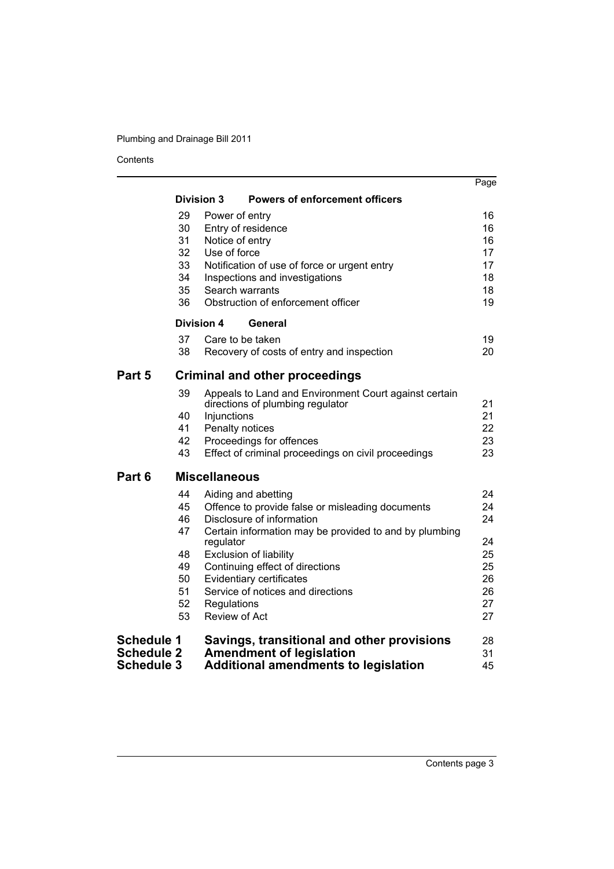Contents

|                   |                                       |                      |                                                             | Page     |
|-------------------|---------------------------------------|----------------------|-------------------------------------------------------------|----------|
|                   |                                       | <b>Division 3</b>    | <b>Powers of enforcement officers</b>                       |          |
|                   | 29                                    | Power of entry       |                                                             | 16       |
|                   | 30                                    |                      | Entry of residence                                          | 16       |
|                   | 31                                    | Notice of entry      |                                                             | 16       |
|                   | 32                                    | Use of force         |                                                             | 17       |
|                   | 33                                    |                      | Notification of use of force or urgent entry                | 17       |
|                   | 34                                    |                      | Inspections and investigations                              | 18       |
|                   | 35                                    | Search warrants      |                                                             | 18       |
|                   | 36                                    |                      | Obstruction of enforcement officer                          | 19       |
|                   | Division 4                            |                      | General                                                     |          |
|                   | 37                                    | Care to be taken     |                                                             | 19       |
|                   | 38                                    |                      | Recovery of costs of entry and inspection                   | 20       |
| Part 5            | <b>Criminal and other proceedings</b> |                      |                                                             |          |
|                   | 39                                    |                      | Appeals to Land and Environment Court against certain       | 21       |
|                   | 40                                    | Injunctions          | directions of plumbing regulator                            | 21       |
|                   | 41                                    | Penalty notices      |                                                             | 22       |
|                   | 42                                    |                      | Proceedings for offences                                    | 23       |
|                   | 43                                    |                      | Effect of criminal proceedings on civil proceedings         | 23       |
| Part 6            |                                       | <b>Miscellaneous</b> |                                                             |          |
|                   | 44                                    |                      | Aiding and abetting                                         | 24       |
|                   | 45                                    |                      | Offence to provide false or misleading documents            | 24       |
|                   | 46                                    |                      | Disclosure of information                                   | 24       |
|                   | 47                                    |                      | Certain information may be provided to and by plumbing      |          |
|                   |                                       | regulator            |                                                             | 24       |
|                   | 48                                    |                      | <b>Exclusion of liability</b>                               | 25       |
|                   | 49<br>50                              |                      | Continuing effect of directions<br>Evidentiary certificates | 25<br>26 |
|                   | 51                                    |                      | Service of notices and directions                           | 26       |
|                   | 52                                    | Regulations          |                                                             | 27       |
|                   | 53                                    | <b>Review of Act</b> |                                                             | 27       |
| <b>Schedule 1</b> |                                       |                      | Savings, transitional and other provisions                  | 28       |
| <b>Schedule 2</b> |                                       |                      | <b>Amendment of legislation</b>                             | 31       |
| <b>Schedule 3</b> |                                       |                      | <b>Additional amendments to legislation</b>                 | 45       |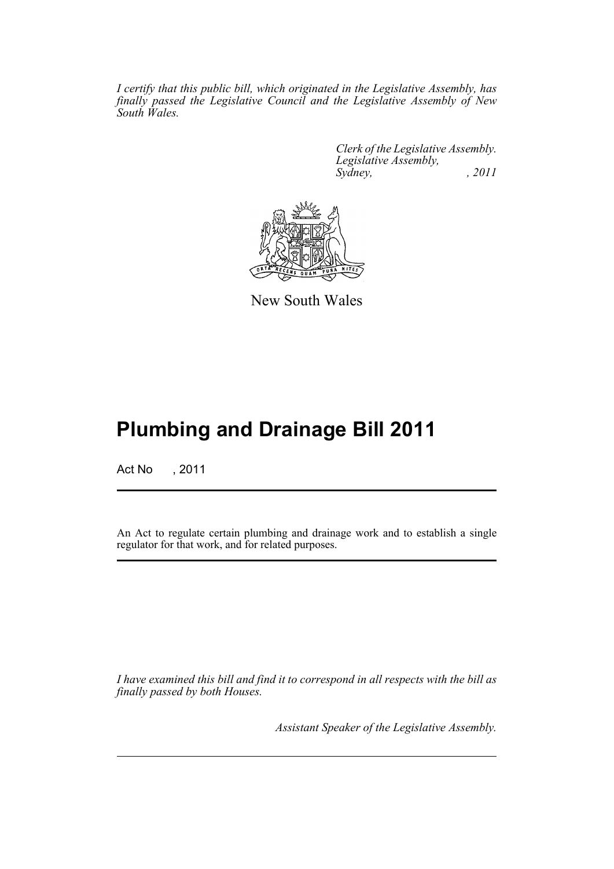*I certify that this public bill, which originated in the Legislative Assembly, has finally passed the Legislative Council and the Legislative Assembly of New South Wales.*

> *Clerk of the Legislative Assembly. Legislative Assembly, Sydney, , 2011*



New South Wales

## **Plumbing and Drainage Bill 2011**

Act No , 2011

An Act to regulate certain plumbing and drainage work and to establish a single regulator for that work, and for related purposes.

*I have examined this bill and find it to correspond in all respects with the bill as finally passed by both Houses.*

*Assistant Speaker of the Legislative Assembly.*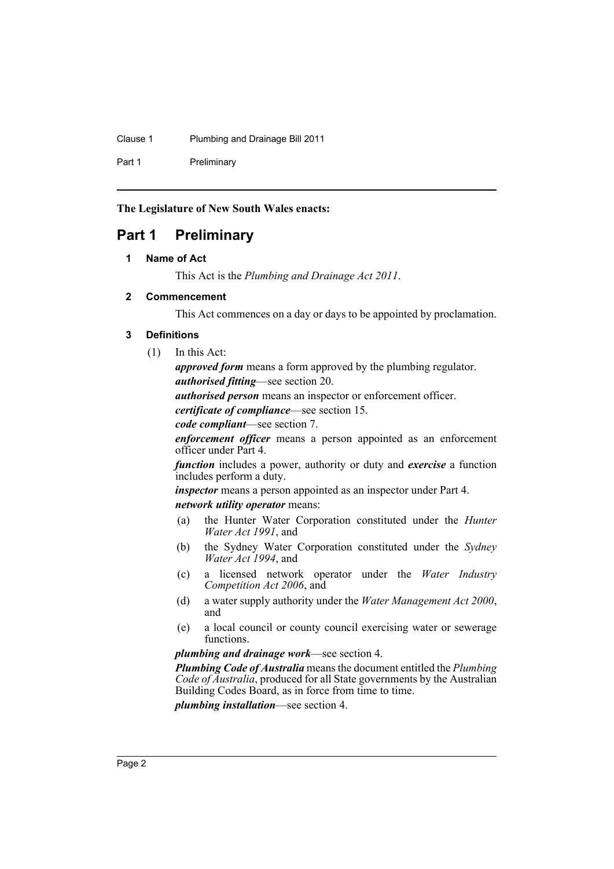Clause 1 Plumbing and Drainage Bill 2011

Part 1 Preliminary

**The Legislature of New South Wales enacts:**

## <span id="page-5-1"></span><span id="page-5-0"></span>**Part 1 Preliminary**

### **1 Name of Act**

This Act is the *Plumbing and Drainage Act 2011*.

### <span id="page-5-2"></span>**2 Commencement**

This Act commences on a day or days to be appointed by proclamation.

### <span id="page-5-3"></span>**3 Definitions**

(1) In this Act:

*approved form* means a form approved by the plumbing regulator. *authorised fitting*—see section 20.

*authorised person* means an inspector or enforcement officer.

*certificate of compliance*—see section 15.

*code compliant*—see section 7.

*enforcement officer* means a person appointed as an enforcement officer under Part 4.

*function* includes a power, authority or duty and *exercise* a function includes perform a duty.

*inspector* means a person appointed as an inspector under Part 4. *network utility operator* means:

- (a) the Hunter Water Corporation constituted under the *Hunter Water Act 1991*, and
- (b) the Sydney Water Corporation constituted under the *Sydney Water Act 1994*, and
- (c) a licensed network operator under the *Water Industry Competition Act 2006*, and
- (d) a water supply authority under the *Water Management Act 2000*, and
- (e) a local council or county council exercising water or sewerage functions.

*plumbing and drainage work*—see section 4.

*Plumbing Code of Australia* means the document entitled the *Plumbing Code of Australia*, produced for all State governments by the Australian Building Codes Board, as in force from time to time.

*plumbing installation*—see section 4.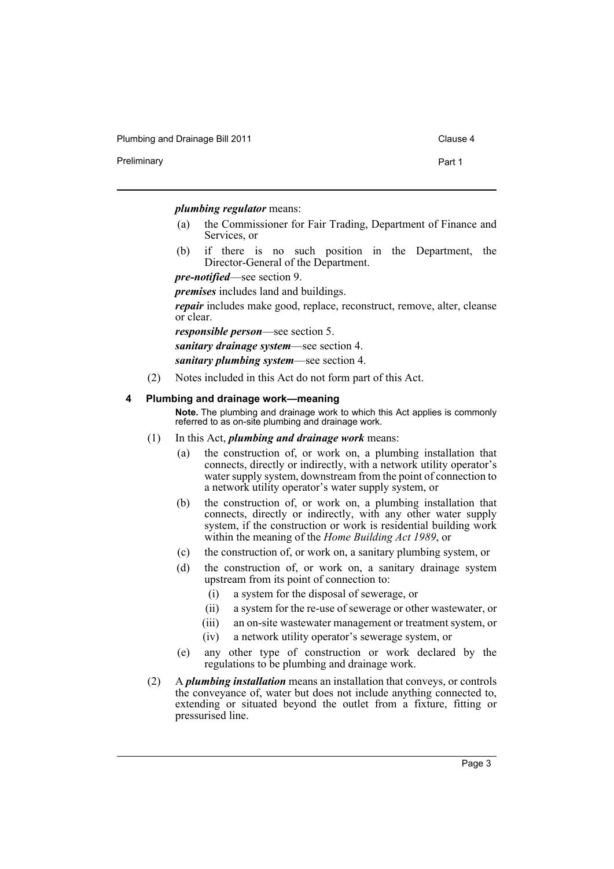Plumbing and Drainage Bill 2011 Clause 4

Preliminary **Preliminary** Part 1

#### *plumbing regulator* means:

- (a) the Commissioner for Fair Trading, Department of Finance and Services, or
- (b) if there is no such position in the Department, the Director-General of the Department.

*pre-notified*—see section 9.

*premises* includes land and buildings.

*repair* includes make good, replace, reconstruct, remove, alter, cleanse or clear.

*responsible person*—see section 5.

*sanitary drainage system*—see section 4.

*sanitary plumbing system*—see section 4.

(2) Notes included in this Act do not form part of this Act.

#### <span id="page-6-0"></span>**4 Plumbing and drainage work—meaning**

**Note.** The plumbing and drainage work to which this Act applies is commonly referred to as on-site plumbing and drainage work.

- (1) In this Act, *plumbing and drainage work* means:
	- (a) the construction of, or work on, a plumbing installation that connects, directly or indirectly, with a network utility operator's water supply system, downstream from the point of connection to a network utility operator's water supply system, or
	- (b) the construction of, or work on, a plumbing installation that connects, directly or indirectly, with any other water supply system, if the construction or work is residential building work within the meaning of the *Home Building Act 1989*, or
	- (c) the construction of, or work on, a sanitary plumbing system, or
	- (d) the construction of, or work on, a sanitary drainage system upstream from its point of connection to:
		- (i) a system for the disposal of sewerage, or
		- (ii) a system for the re-use of sewerage or other wastewater, or
		- (iii) an on-site wastewater management or treatment system, or
		- (iv) a network utility operator's sewerage system, or
	- (e) any other type of construction or work declared by the regulations to be plumbing and drainage work.
- (2) A *plumbing installation* means an installation that conveys, or controls the conveyance of, water but does not include anything connected to, extending or situated beyond the outlet from a fixture, fitting or pressurised line.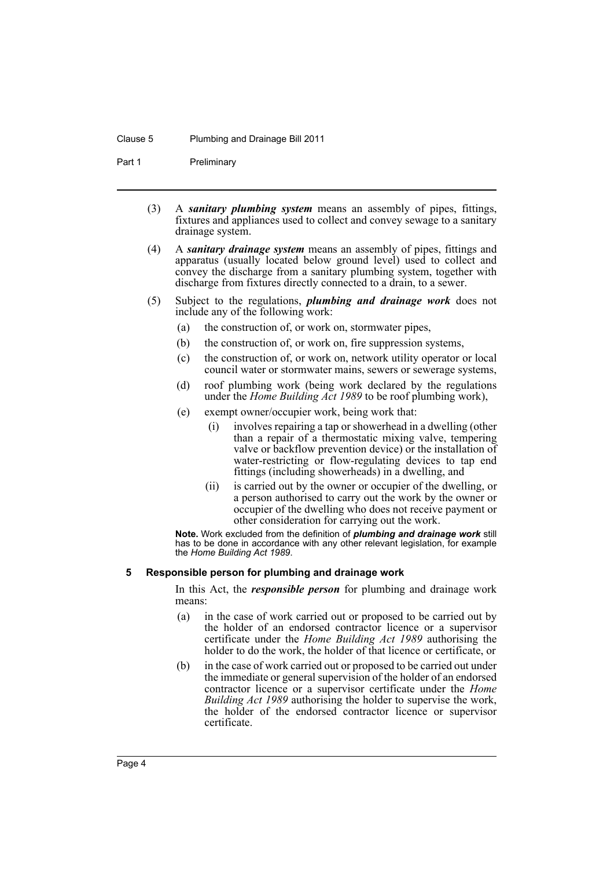#### Clause 5 Plumbing and Drainage Bill 2011

Part 1 Preliminary

- (3) A *sanitary plumbing system* means an assembly of pipes, fittings, fixtures and appliances used to collect and convey sewage to a sanitary drainage system.
- (4) A *sanitary drainage system* means an assembly of pipes, fittings and apparatus (usually located below ground level) used to collect and convey the discharge from a sanitary plumbing system, together with discharge from fixtures directly connected to a drain, to a sewer.
- (5) Subject to the regulations, *plumbing and drainage work* does not include any of the following work:
	- (a) the construction of, or work on, stormwater pipes,
	- (b) the construction of, or work on, fire suppression systems,
	- (c) the construction of, or work on, network utility operator or local council water or stormwater mains, sewers or sewerage systems,
	- (d) roof plumbing work (being work declared by the regulations under the *Home Building Act 1989* to be roof plumbing work),
	- (e) exempt owner/occupier work, being work that:
		- (i) involves repairing a tap or showerhead in a dwelling (other than a repair of a thermostatic mixing valve, tempering valve or backflow prevention device) or the installation of water-restricting or flow-regulating devices to tap end fittings (including showerheads) in a dwelling, and
		- (ii) is carried out by the owner or occupier of the dwelling, or a person authorised to carry out the work by the owner or occupier of the dwelling who does not receive payment or other consideration for carrying out the work.

**Note.** Work excluded from the definition of *plumbing and drainage work* still has to be done in accordance with any other relevant legislation, for example the *Home Building Act 1989*.

#### <span id="page-7-0"></span>**5 Responsible person for plumbing and drainage work**

In this Act, the *responsible person* for plumbing and drainage work means:

- (a) in the case of work carried out or proposed to be carried out by the holder of an endorsed contractor licence or a supervisor certificate under the *Home Building Act 1989* authorising the holder to do the work, the holder of that licence or certificate, or
- (b) in the case of work carried out or proposed to be carried out under the immediate or general supervision of the holder of an endorsed contractor licence or a supervisor certificate under the *Home Building Act 1989* authorising the holder to supervise the work, the holder of the endorsed contractor licence or supervisor certificate.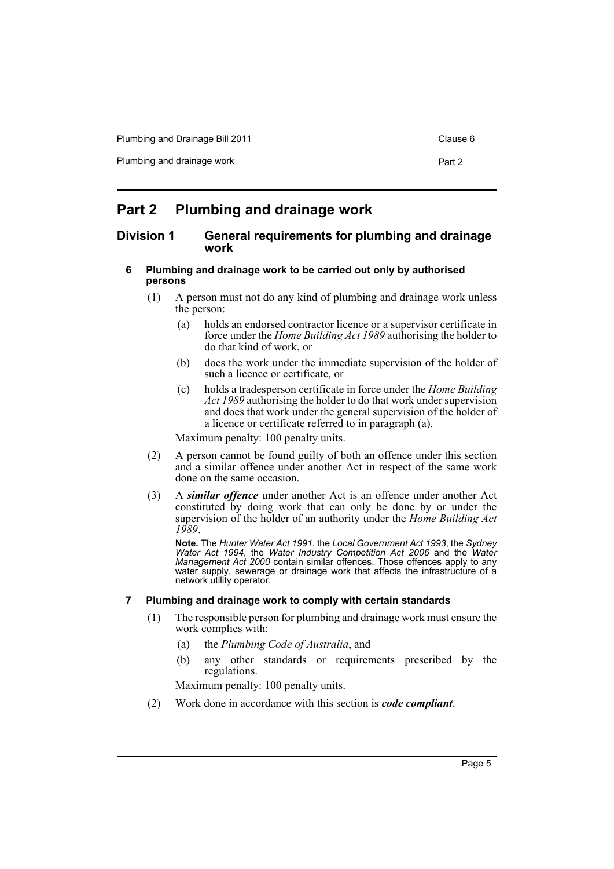| Plumbing and Drainage Bill 2011 | Clause 6 |
|---------------------------------|----------|
| Plumbing and drainage work      | Part 2   |

### <span id="page-8-0"></span>**Part 2 Plumbing and drainage work**

### <span id="page-8-1"></span>**Division 1 General requirements for plumbing and drainage work**

- <span id="page-8-2"></span>**6 Plumbing and drainage work to be carried out only by authorised persons**
	- (1) A person must not do any kind of plumbing and drainage work unless the person:
		- (a) holds an endorsed contractor licence or a supervisor certificate in force under the *Home Building Act 1989* authorising the holder to do that kind of work, or
		- (b) does the work under the immediate supervision of the holder of such a licence or certificate, or
		- (c) holds a tradesperson certificate in force under the *Home Building Act 1989* authorising the holder to do that work under supervision and does that work under the general supervision of the holder of a licence or certificate referred to in paragraph (a).

Maximum penalty: 100 penalty units.

- (2) A person cannot be found guilty of both an offence under this section and a similar offence under another Act in respect of the same work done on the same occasion.
- (3) A *similar offence* under another Act is an offence under another Act constituted by doing work that can only be done by or under the supervision of the holder of an authority under the *Home Building Act 1989*.

**Note.** The *Hunter Water Act 1991*, the *Local Government Act 1993*, the *Sydney Water Act 1994*, the *Water Industry Competition Act 2006* and the *Water Management Act 2000* contain similar offences. Those offences apply to any water supply, sewerage or drainage work that affects the infrastructure of a network utility operator.

### <span id="page-8-3"></span>**7 Plumbing and drainage work to comply with certain standards**

- (1) The responsible person for plumbing and drainage work must ensure the work complies with:
	- (a) the *Plumbing Code of Australia*, and
	- (b) any other standards or requirements prescribed by the regulations.

Maximum penalty: 100 penalty units.

(2) Work done in accordance with this section is *code compliant*.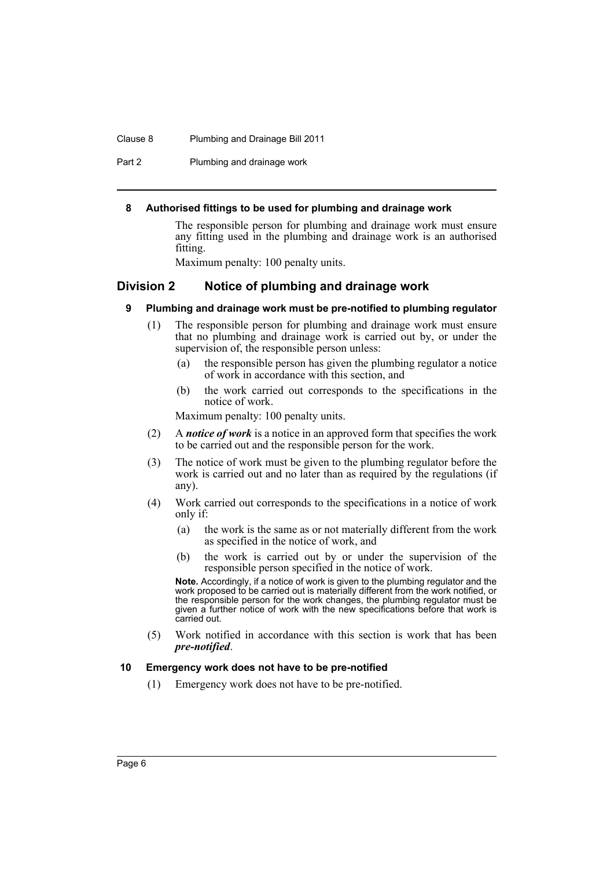#### Clause 8 Plumbing and Drainage Bill 2011

Part 2 Plumbing and drainage work

#### <span id="page-9-0"></span>**8 Authorised fittings to be used for plumbing and drainage work**

The responsible person for plumbing and drainage work must ensure any fitting used in the plumbing and drainage work is an authorised fitting.

Maximum penalty: 100 penalty units.

### <span id="page-9-2"></span><span id="page-9-1"></span>**Division 2 Notice of plumbing and drainage work**

- **9 Plumbing and drainage work must be pre-notified to plumbing regulator**
	- (1) The responsible person for plumbing and drainage work must ensure that no plumbing and drainage work is carried out by, or under the supervision of, the responsible person unless:
		- (a) the responsible person has given the plumbing regulator a notice of work in accordance with this section, and
		- (b) the work carried out corresponds to the specifications in the notice of work.

Maximum penalty: 100 penalty units.

- (2) A *notice of work* is a notice in an approved form that specifies the work to be carried out and the responsible person for the work.
- (3) The notice of work must be given to the plumbing regulator before the work is carried out and no later than as required by the regulations (if any).
- (4) Work carried out corresponds to the specifications in a notice of work only if:
	- (a) the work is the same as or not materially different from the work as specified in the notice of work, and
	- (b) the work is carried out by or under the supervision of the responsible person specified in the notice of work.

**Note.** Accordingly, if a notice of work is given to the plumbing regulator and the work proposed to be carried out is materially different from the work notified, or the responsible person for the work changes, the plumbing regulator must be given a further notice of work with the new specifications before that work is carried out.

(5) Work notified in accordance with this section is work that has been *pre-notified*.

#### <span id="page-9-3"></span>**10 Emergency work does not have to be pre-notified**

(1) Emergency work does not have to be pre-notified.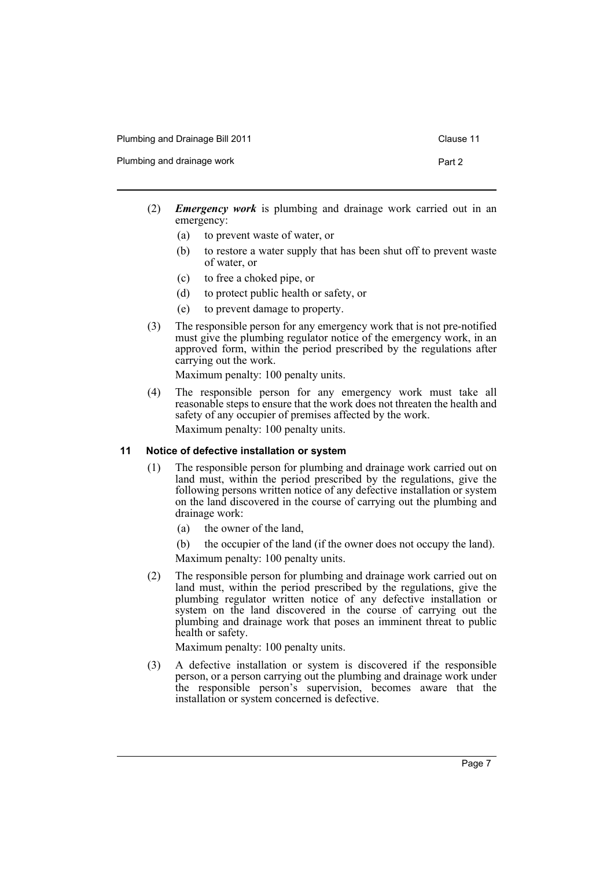|  | Plumbing and Drainage Bill 2011 |  |
|--|---------------------------------|--|
|--|---------------------------------|--|

Plumbing and drainage work **Part 2** Part 2

- 
- (2) *Emergency work* is plumbing and drainage work carried out in an emergency:
	- (a) to prevent waste of water, or
	- (b) to restore a water supply that has been shut off to prevent waste of water, or
	- (c) to free a choked pipe, or
	- (d) to protect public health or safety, or
	- (e) to prevent damage to property.
- (3) The responsible person for any emergency work that is not pre-notified must give the plumbing regulator notice of the emergency work, in an approved form, within the period prescribed by the regulations after carrying out the work.

Maximum penalty: 100 penalty units.

(4) The responsible person for any emergency work must take all reasonable steps to ensure that the work does not threaten the health and safety of any occupier of premises affected by the work. Maximum penalty: 100 penalty units.

#### <span id="page-10-0"></span>**11 Notice of defective installation or system**

- (1) The responsible person for plumbing and drainage work carried out on land must, within the period prescribed by the regulations, give the following persons written notice of any defective installation or system on the land discovered in the course of carrying out the plumbing and drainage work:
	- (a) the owner of the land,
	- (b) the occupier of the land (if the owner does not occupy the land).
	- Maximum penalty: 100 penalty units.
- (2) The responsible person for plumbing and drainage work carried out on land must, within the period prescribed by the regulations, give the plumbing regulator written notice of any defective installation or system on the land discovered in the course of carrying out the plumbing and drainage work that poses an imminent threat to public health or safety.

Maximum penalty: 100 penalty units.

(3) A defective installation or system is discovered if the responsible person, or a person carrying out the plumbing and drainage work under the responsible person's supervision, becomes aware that the installation or system concerned is defective.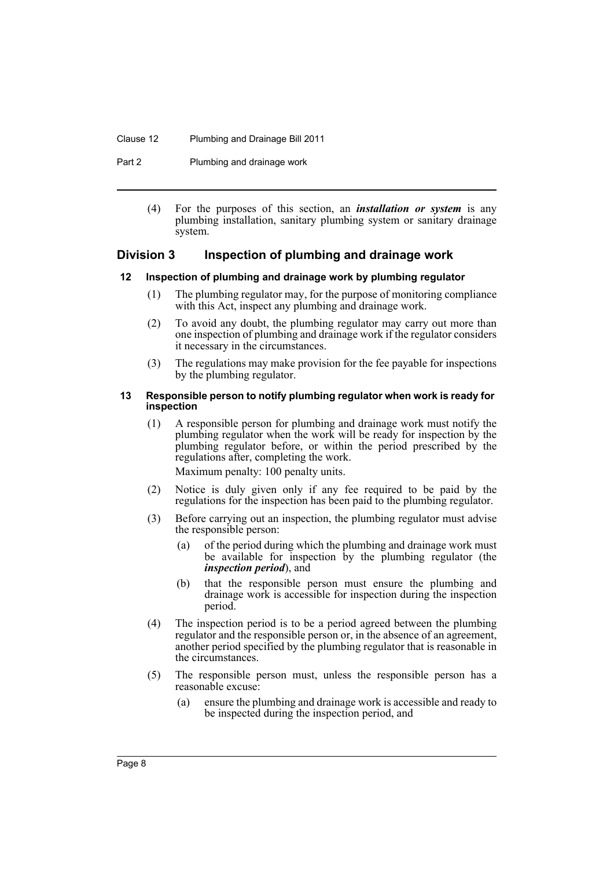#### Clause 12 Plumbing and Drainage Bill 2011

Part 2 Plumbing and drainage work

(4) For the purposes of this section, an *installation or system* is any plumbing installation, sanitary plumbing system or sanitary drainage system.

### <span id="page-11-0"></span>**Division 3 Inspection of plumbing and drainage work**

#### <span id="page-11-1"></span>**12 Inspection of plumbing and drainage work by plumbing regulator**

- (1) The plumbing regulator may, for the purpose of monitoring compliance with this Act, inspect any plumbing and drainage work.
- (2) To avoid any doubt, the plumbing regulator may carry out more than one inspection of plumbing and drainage work if the regulator considers it necessary in the circumstances.
- (3) The regulations may make provision for the fee payable for inspections by the plumbing regulator.

#### <span id="page-11-2"></span>**13 Responsible person to notify plumbing regulator when work is ready for inspection**

(1) A responsible person for plumbing and drainage work must notify the plumbing regulator when the work will be ready for inspection by the plumbing regulator before, or within the period prescribed by the regulations after, completing the work.

Maximum penalty: 100 penalty units.

- (2) Notice is duly given only if any fee required to be paid by the regulations for the inspection has been paid to the plumbing regulator.
- (3) Before carrying out an inspection, the plumbing regulator must advise the responsible person:
	- (a) of the period during which the plumbing and drainage work must be available for inspection by the plumbing regulator (the *inspection period*), and
	- (b) that the responsible person must ensure the plumbing and drainage work is accessible for inspection during the inspection period.
- (4) The inspection period is to be a period agreed between the plumbing regulator and the responsible person or, in the absence of an agreement, another period specified by the plumbing regulator that is reasonable in the circumstances.
- (5) The responsible person must, unless the responsible person has a reasonable excuse:
	- (a) ensure the plumbing and drainage work is accessible and ready to be inspected during the inspection period, and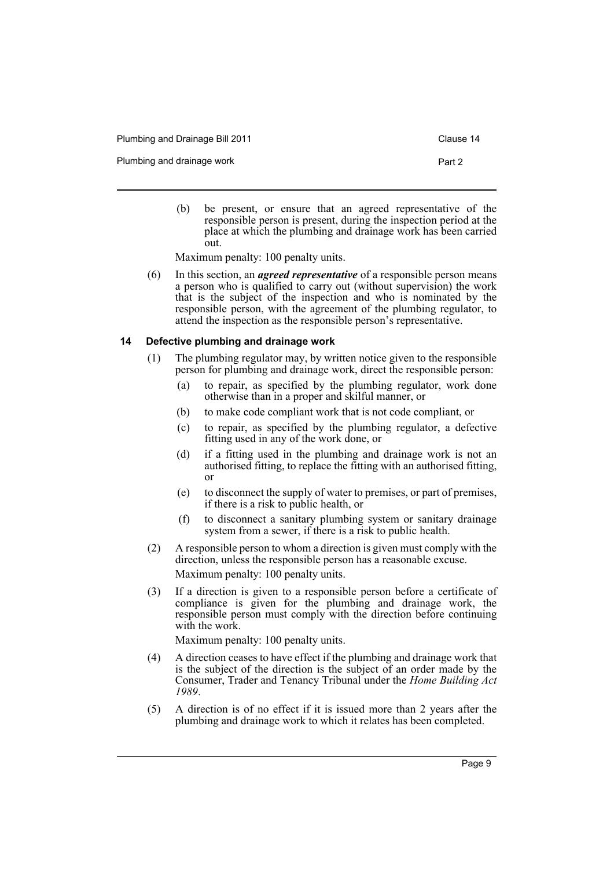Plumbing and Drainage Bill 2011 Clause 14

Plumbing and drainage work **Part 2** Part 2

(b) be present, or ensure that an agreed representative of the responsible person is present, during the inspection period at the place at which the plumbing and drainage work has been carried out.

Maximum penalty: 100 penalty units.

(6) In this section, an *agreed representative* of a responsible person means a person who is qualified to carry out (without supervision) the work that is the subject of the inspection and who is nominated by the responsible person, with the agreement of the plumbing regulator, to attend the inspection as the responsible person's representative.

#### <span id="page-12-0"></span>**14 Defective plumbing and drainage work**

- (1) The plumbing regulator may, by written notice given to the responsible person for plumbing and drainage work, direct the responsible person:
	- (a) to repair, as specified by the plumbing regulator, work done otherwise than in a proper and skilful manner, or
	- (b) to make code compliant work that is not code compliant, or
	- (c) to repair, as specified by the plumbing regulator, a defective fitting used in any of the work done, or
	- (d) if a fitting used in the plumbing and drainage work is not an authorised fitting, to replace the fitting with an authorised fitting, or
	- (e) to disconnect the supply of water to premises, or part of premises, if there is a risk to public health, or
	- (f) to disconnect a sanitary plumbing system or sanitary drainage system from a sewer, if there is a risk to public health.
- (2) A responsible person to whom a direction is given must comply with the direction, unless the responsible person has a reasonable excuse. Maximum penalty: 100 penalty units.
- (3) If a direction is given to a responsible person before a certificate of compliance is given for the plumbing and drainage work, the responsible person must comply with the direction before continuing with the work.

Maximum penalty: 100 penalty units.

- (4) A direction ceases to have effect if the plumbing and drainage work that is the subject of the direction is the subject of an order made by the Consumer, Trader and Tenancy Tribunal under the *Home Building Act 1989*.
- (5) A direction is of no effect if it is issued more than 2 years after the plumbing and drainage work to which it relates has been completed.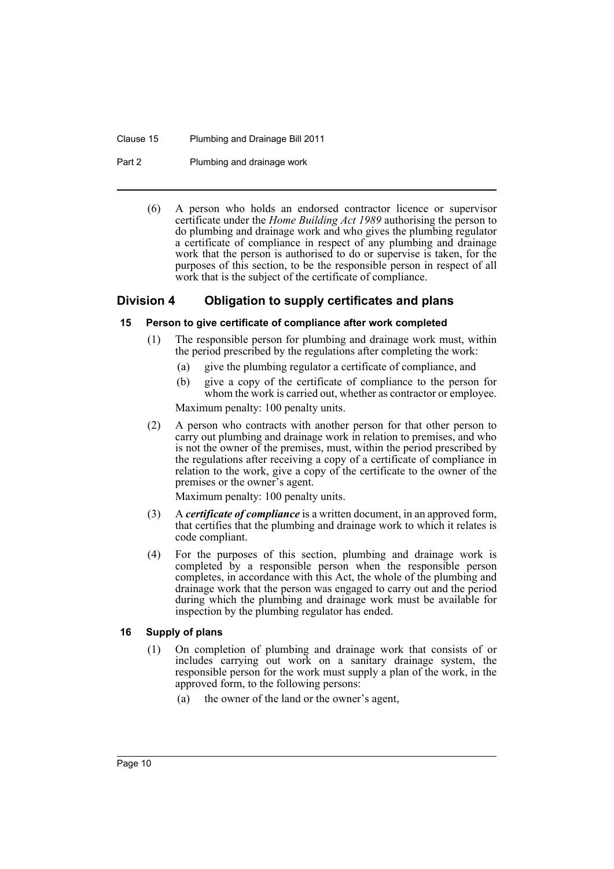Clause 15 Plumbing and Drainage Bill 2011

Part 2 Plumbing and drainage work

(6) A person who holds an endorsed contractor licence or supervisor certificate under the *Home Building Act 1989* authorising the person to do plumbing and drainage work and who gives the plumbing regulator a certificate of compliance in respect of any plumbing and drainage work that the person is authorised to do or supervise is taken, for the purposes of this section, to be the responsible person in respect of all work that is the subject of the certificate of compliance.

### <span id="page-13-0"></span>**Division 4 Obligation to supply certificates and plans**

### <span id="page-13-1"></span>**15 Person to give certificate of compliance after work completed**

- (1) The responsible person for plumbing and drainage work must, within the period prescribed by the regulations after completing the work:
	- (a) give the plumbing regulator a certificate of compliance, and
	- (b) give a copy of the certificate of compliance to the person for whom the work is carried out, whether as contractor or employee.

Maximum penalty: 100 penalty units.

(2) A person who contracts with another person for that other person to carry out plumbing and drainage work in relation to premises, and who is not the owner of the premises, must, within the period prescribed by the regulations after receiving a copy of a certificate of compliance in relation to the work, give a copy of the certificate to the owner of the premises or the owner's agent.

Maximum penalty: 100 penalty units.

- (3) A *certificate of compliance* is a written document, in an approved form, that certifies that the plumbing and drainage work to which it relates is code compliant.
- (4) For the purposes of this section, plumbing and drainage work is completed by a responsible person when the responsible person completes, in accordance with this Act, the whole of the plumbing and drainage work that the person was engaged to carry out and the period during which the plumbing and drainage work must be available for inspection by the plumbing regulator has ended.

### <span id="page-13-2"></span>**16 Supply of plans**

- (1) On completion of plumbing and drainage work that consists of or includes carrying out work on a sanitary drainage system, the responsible person for the work must supply a plan of the work, in the approved form, to the following persons:
	- (a) the owner of the land or the owner's agent,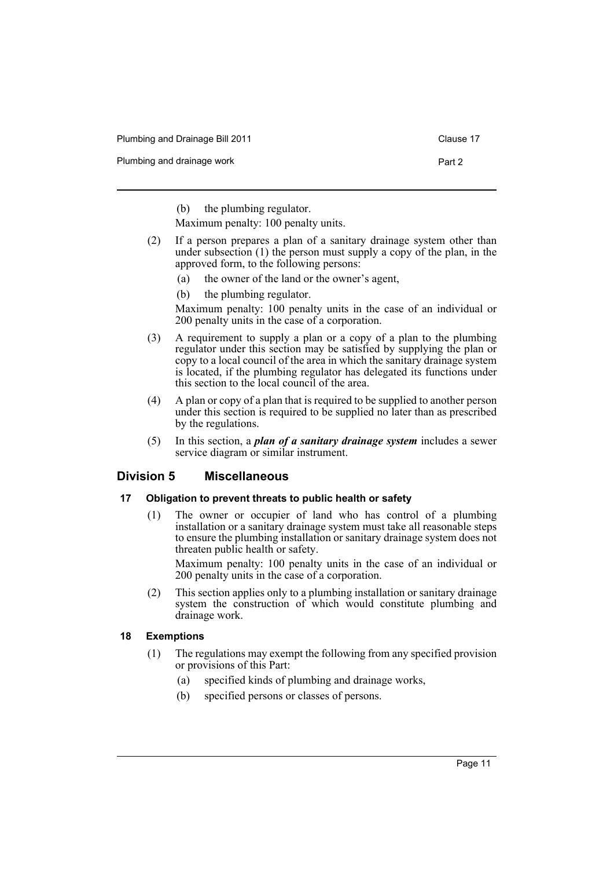Plumbing and Drainage Bill 2011 Clause 17

Plumbing and drainage work **Part 2** Part 2

(b) the plumbing regulator.

Maximum penalty: 100 penalty units.

- (2) If a person prepares a plan of a sanitary drainage system other than under subsection (1) the person must supply a copy of the plan, in the approved form, to the following persons:
	- (a) the owner of the land or the owner's agent,
	- (b) the plumbing regulator.

Maximum penalty: 100 penalty units in the case of an individual or 200 penalty units in the case of a corporation.

- (3) A requirement to supply a plan or a copy of a plan to the plumbing regulator under this section may be satisfied by supplying the plan or copy to a local council of the area in which the sanitary drainage system is located, if the plumbing regulator has delegated its functions under this section to the local council of the area.
- (4) A plan or copy of a plan that is required to be supplied to another person under this section is required to be supplied no later than as prescribed by the regulations.
- (5) In this section, a *plan of a sanitary drainage system* includes a sewer service diagram or similar instrument.

### <span id="page-14-0"></span>**Division 5 Miscellaneous**

### <span id="page-14-1"></span>**17 Obligation to prevent threats to public health or safety**

(1) The owner or occupier of land who has control of a plumbing installation or a sanitary drainage system must take all reasonable steps to ensure the plumbing installation or sanitary drainage system does not threaten public health or safety.

Maximum penalty: 100 penalty units in the case of an individual or 200 penalty units in the case of a corporation.

(2) This section applies only to a plumbing installation or sanitary drainage system the construction of which would constitute plumbing and drainage work.

### <span id="page-14-2"></span>**18 Exemptions**

- (1) The regulations may exempt the following from any specified provision or provisions of this Part:
	- (a) specified kinds of plumbing and drainage works,
	- (b) specified persons or classes of persons.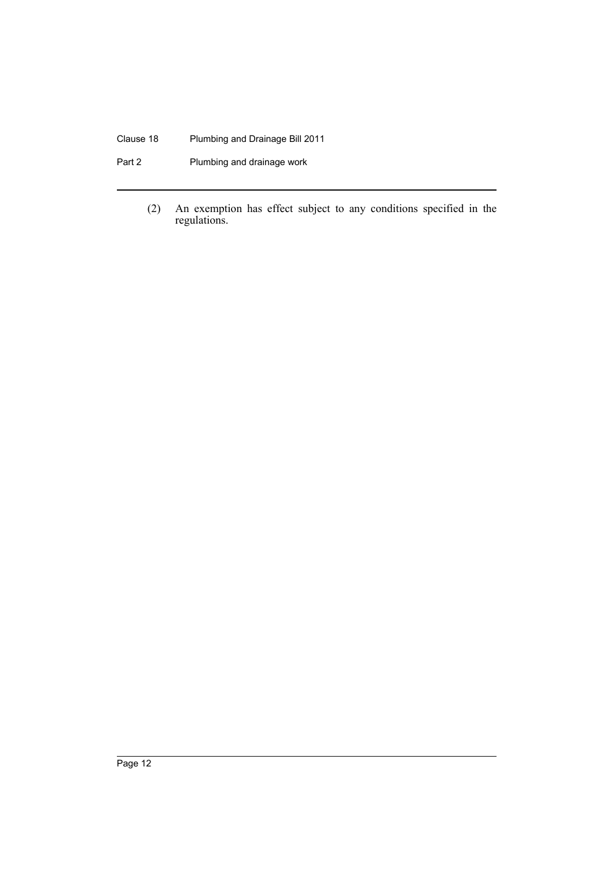### Clause 18 Plumbing and Drainage Bill 2011

Part 2 Plumbing and drainage work

(2) An exemption has effect subject to any conditions specified in the regulations.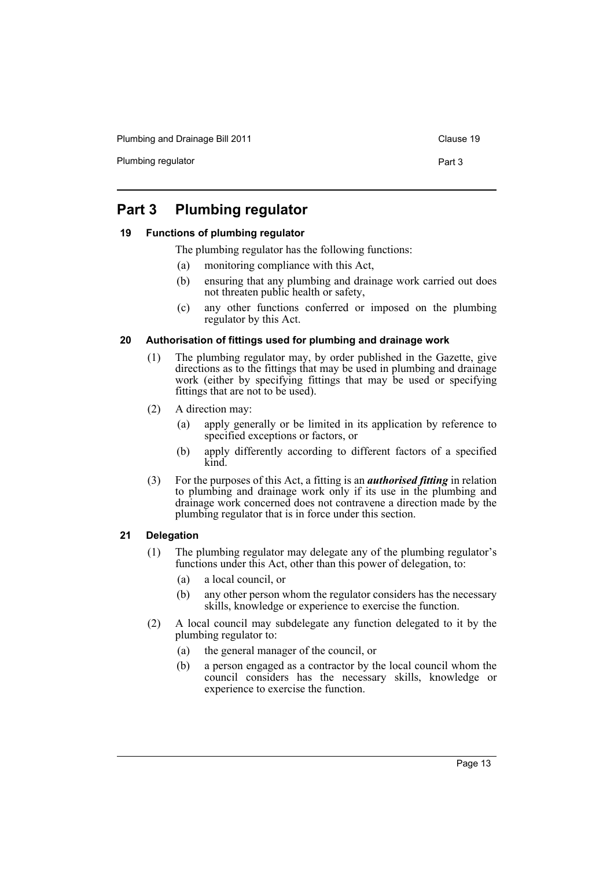Plumbing and Drainage Bill 2011 Clause 19

Plumbing regulator **Part 3** 

### <span id="page-16-0"></span>**Part 3 Plumbing regulator**

### <span id="page-16-1"></span>**19 Functions of plumbing regulator**

- The plumbing regulator has the following functions:
- (a) monitoring compliance with this Act,
- (b) ensuring that any plumbing and drainage work carried out does not threaten public health or safety,
- (c) any other functions conferred or imposed on the plumbing regulator by this Act.

### <span id="page-16-2"></span>**20 Authorisation of fittings used for plumbing and drainage work**

- (1) The plumbing regulator may, by order published in the Gazette, give directions as to the fittings that may be used in plumbing and drainage work (either by specifying fittings that may be used or specifying fittings that are not to be used).
- (2) A direction may:
	- (a) apply generally or be limited in its application by reference to specified exceptions or factors, or
	- (b) apply differently according to different factors of a specified kind.
- (3) For the purposes of this Act, a fitting is an *authorised fitting* in relation to plumbing and drainage work only if its use in the plumbing and drainage work concerned does not contravene a direction made by the plumbing regulator that is in force under this section.

### <span id="page-16-3"></span>**21 Delegation**

- (1) The plumbing regulator may delegate any of the plumbing regulator's functions under this Act, other than this power of delegation, to:
	- (a) a local council, or
	- (b) any other person whom the regulator considers has the necessary skills, knowledge or experience to exercise the function.
- (2) A local council may subdelegate any function delegated to it by the plumbing regulator to:
	- (a) the general manager of the council, or
	- (b) a person engaged as a contractor by the local council whom the council considers has the necessary skills, knowledge or experience to exercise the function.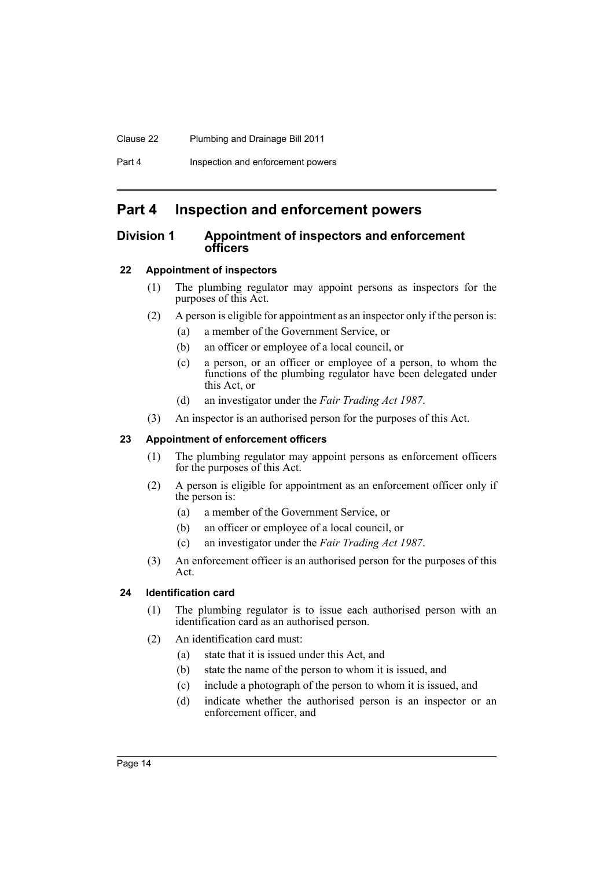#### Clause 22 Plumbing and Drainage Bill 2011

Part 4 **Inspection and enforcement powers** 

### <span id="page-17-0"></span>**Part 4 Inspection and enforcement powers**

### <span id="page-17-1"></span>**Division 1 Appointment of inspectors and enforcement officers**

### <span id="page-17-2"></span>**22 Appointment of inspectors**

- (1) The plumbing regulator may appoint persons as inspectors for the purposes of this Act.
- (2) A person is eligible for appointment as an inspector only if the person is:
	- (a) a member of the Government Service, or
	- (b) an officer or employee of a local council, or
	- (c) a person, or an officer or employee of a person, to whom the functions of the plumbing regulator have been delegated under this Act, or
	- (d) an investigator under the *Fair Trading Act 1987*.
- (3) An inspector is an authorised person for the purposes of this Act.

### <span id="page-17-3"></span>**23 Appointment of enforcement officers**

- (1) The plumbing regulator may appoint persons as enforcement officers for the purposes of this Act.
- (2) A person is eligible for appointment as an enforcement officer only if the person is:
	- (a) a member of the Government Service, or
	- (b) an officer or employee of a local council, or
	- (c) an investigator under the *Fair Trading Act 1987*.
- (3) An enforcement officer is an authorised person for the purposes of this Act.

### <span id="page-17-4"></span>**24 Identification card**

- (1) The plumbing regulator is to issue each authorised person with an identification card as an authorised person.
- (2) An identification card must:
	- (a) state that it is issued under this Act, and
	- (b) state the name of the person to whom it is issued, and
	- (c) include a photograph of the person to whom it is issued, and
	- (d) indicate whether the authorised person is an inspector or an enforcement officer, and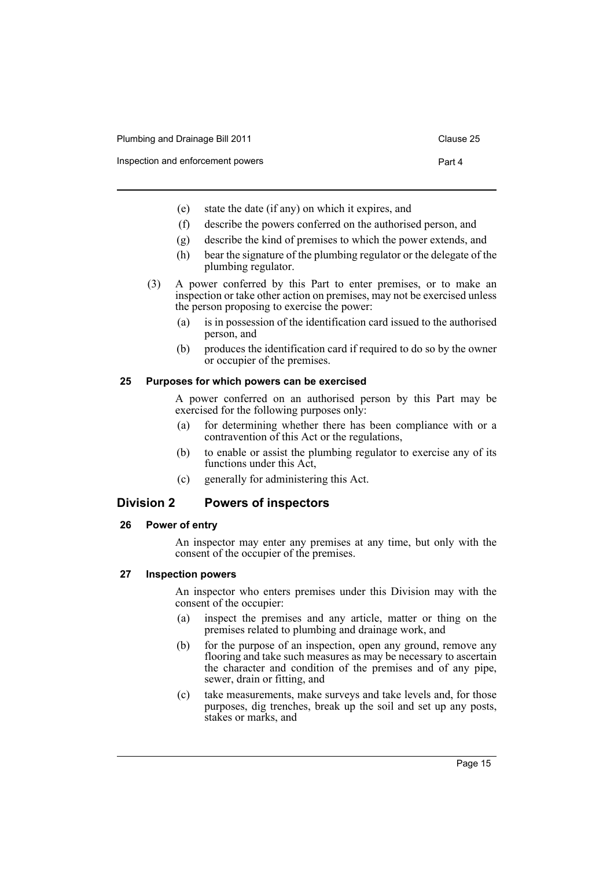| Plumbing and Drainage Bill 2011 | Clause 25 |
|---------------------------------|-----------|
|---------------------------------|-----------|

Inspection and enforcement powers Part 4

- (e) state the date (if any) on which it expires, and
- (f) describe the powers conferred on the authorised person, and
- (g) describe the kind of premises to which the power extends, and
- (h) bear the signature of the plumbing regulator or the delegate of the plumbing regulator.
- (3) A power conferred by this Part to enter premises, or to make an inspection or take other action on premises, may not be exercised unless the person proposing to exercise the power:
	- (a) is in possession of the identification card issued to the authorised person, and
	- (b) produces the identification card if required to do so by the owner or occupier of the premises.

#### <span id="page-18-0"></span>**25 Purposes for which powers can be exercised**

A power conferred on an authorised person by this Part may be exercised for the following purposes only:

- (a) for determining whether there has been compliance with or a contravention of this Act or the regulations,
- (b) to enable or assist the plumbing regulator to exercise any of its functions under this Act,
- (c) generally for administering this Act.

### <span id="page-18-1"></span>**Division 2 Powers of inspectors**

#### <span id="page-18-2"></span>**26 Power of entry**

An inspector may enter any premises at any time, but only with the consent of the occupier of the premises.

#### <span id="page-18-3"></span>**27 Inspection powers**

An inspector who enters premises under this Division may with the consent of the occupier:

- (a) inspect the premises and any article, matter or thing on the premises related to plumbing and drainage work, and
- (b) for the purpose of an inspection, open any ground, remove any flooring and take such measures as may be necessary to ascertain the character and condition of the premises and of any pipe, sewer, drain or fitting, and
- (c) take measurements, make surveys and take levels and, for those purposes, dig trenches, break up the soil and set up any posts, stakes or marks, and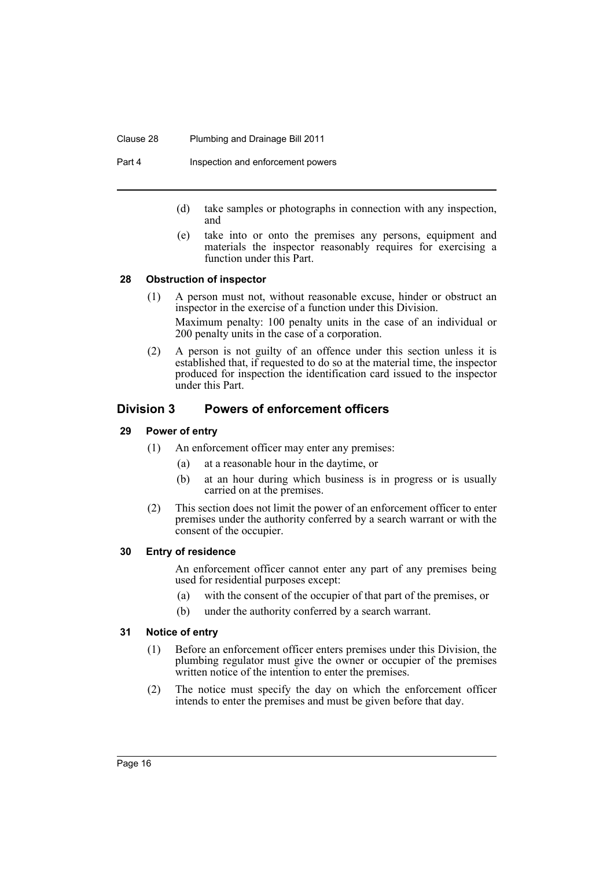#### Clause 28 Plumbing and Drainage Bill 2011

Part 4 **Inspection and enforcement powers** 

- (d) take samples or photographs in connection with any inspection, and
- (e) take into or onto the premises any persons, equipment and materials the inspector reasonably requires for exercising a function under this Part.

### <span id="page-19-0"></span>**28 Obstruction of inspector**

- (1) A person must not, without reasonable excuse, hinder or obstruct an inspector in the exercise of a function under this Division. Maximum penalty: 100 penalty units in the case of an individual or 200 penalty units in the case of a corporation.
- (2) A person is not guilty of an offence under this section unless it is established that, if requested to do so at the material time, the inspector produced for inspection the identification card issued to the inspector under this Part.

### <span id="page-19-1"></span>**Division 3 Powers of enforcement officers**

### <span id="page-19-2"></span>**29 Power of entry**

- (1) An enforcement officer may enter any premises:
	- (a) at a reasonable hour in the daytime, or
	- (b) at an hour during which business is in progress or is usually carried on at the premises.
- (2) This section does not limit the power of an enforcement officer to enter premises under the authority conferred by a search warrant or with the consent of the occupier.

### <span id="page-19-3"></span>**30 Entry of residence**

An enforcement officer cannot enter any part of any premises being used for residential purposes except:

- (a) with the consent of the occupier of that part of the premises, or
- (b) under the authority conferred by a search warrant.

### <span id="page-19-4"></span>**31 Notice of entry**

- (1) Before an enforcement officer enters premises under this Division, the plumbing regulator must give the owner or occupier of the premises written notice of the intention to enter the premises.
- (2) The notice must specify the day on which the enforcement officer intends to enter the premises and must be given before that day.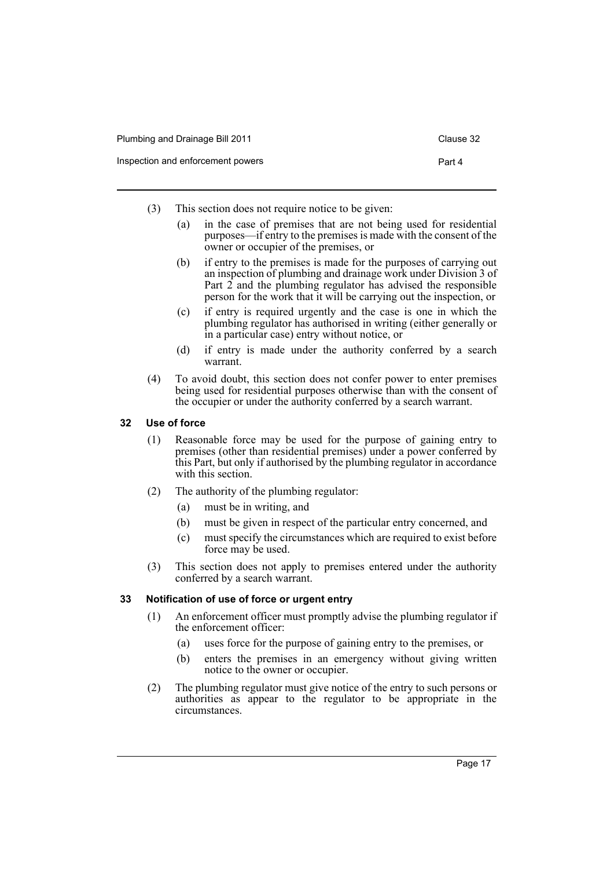- (3) This section does not require notice to be given:
	- (a) in the case of premises that are not being used for residential purposes—if entry to the premises is made with the consent of the owner or occupier of the premises, or
	- (b) if entry to the premises is made for the purposes of carrying out an inspection of plumbing and drainage work under Division 3 of Part 2 and the plumbing regulator has advised the responsible person for the work that it will be carrying out the inspection, or
	- (c) if entry is required urgently and the case is one in which the plumbing regulator has authorised in writing (either generally or in a particular case) entry without notice, or
	- (d) if entry is made under the authority conferred by a search warrant.
- (4) To avoid doubt, this section does not confer power to enter premises being used for residential purposes otherwise than with the consent of the occupier or under the authority conferred by a search warrant.

### <span id="page-20-0"></span>**32 Use of force**

- (1) Reasonable force may be used for the purpose of gaining entry to premises (other than residential premises) under a power conferred by this Part, but only if authorised by the plumbing regulator in accordance with this section.
- (2) The authority of the plumbing regulator:
	- (a) must be in writing, and
	- (b) must be given in respect of the particular entry concerned, and
	- (c) must specify the circumstances which are required to exist before force may be used.
- (3) This section does not apply to premises entered under the authority conferred by a search warrant.

#### <span id="page-20-1"></span>**33 Notification of use of force or urgent entry**

- (1) An enforcement officer must promptly advise the plumbing regulator if the enforcement officer:
	- (a) uses force for the purpose of gaining entry to the premises, or
	- (b) enters the premises in an emergency without giving written notice to the owner or occupier.
- (2) The plumbing regulator must give notice of the entry to such persons or authorities as appear to the regulator to be appropriate in the circumstances.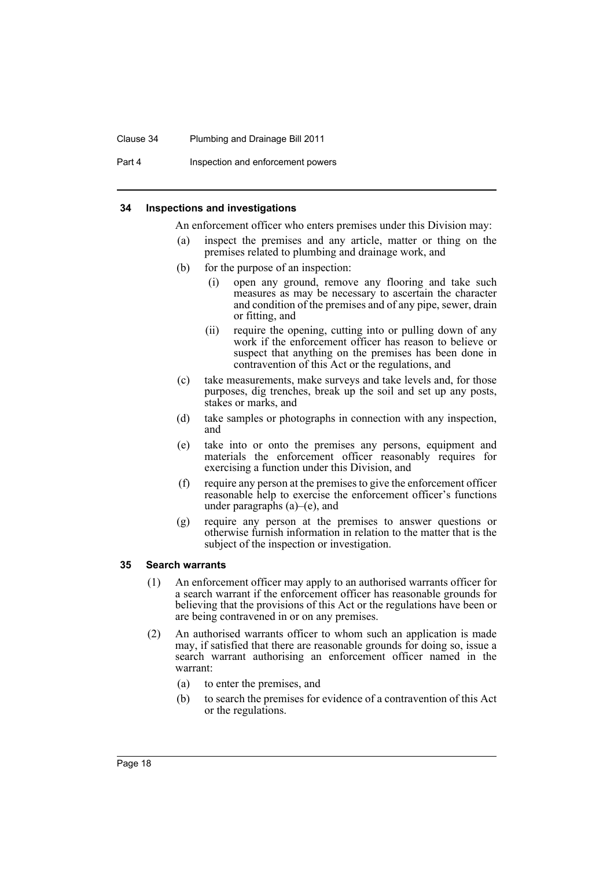#### Clause 34 Plumbing and Drainage Bill 2011

Part 4 **Inspection and enforcement powers** 

#### <span id="page-21-0"></span>**34 Inspections and investigations**

An enforcement officer who enters premises under this Division may:

- (a) inspect the premises and any article, matter or thing on the premises related to plumbing and drainage work, and
- (b) for the purpose of an inspection:
	- (i) open any ground, remove any flooring and take such measures as may be necessary to ascertain the character and condition of the premises and of any pipe, sewer, drain or fitting, and
	- (ii) require the opening, cutting into or pulling down of any work if the enforcement officer has reason to believe or suspect that anything on the premises has been done in contravention of this Act or the regulations, and
- (c) take measurements, make surveys and take levels and, for those purposes, dig trenches, break up the soil and set up any posts, stakes or marks, and
- (d) take samples or photographs in connection with any inspection, and
- (e) take into or onto the premises any persons, equipment and materials the enforcement officer reasonably requires for exercising a function under this Division, and
- (f) require any person at the premises to give the enforcement officer reasonable help to exercise the enforcement officer's functions under paragraphs  $(a)$ – $(e)$ , and
- (g) require any person at the premises to answer questions or otherwise furnish information in relation to the matter that is the subject of the inspection or investigation.

#### <span id="page-21-1"></span>**35 Search warrants**

- (1) An enforcement officer may apply to an authorised warrants officer for a search warrant if the enforcement officer has reasonable grounds for believing that the provisions of this Act or the regulations have been or are being contravened in or on any premises.
- (2) An authorised warrants officer to whom such an application is made may, if satisfied that there are reasonable grounds for doing so, issue a search warrant authorising an enforcement officer named in the warrant:
	- (a) to enter the premises, and
	- (b) to search the premises for evidence of a contravention of this Act or the regulations.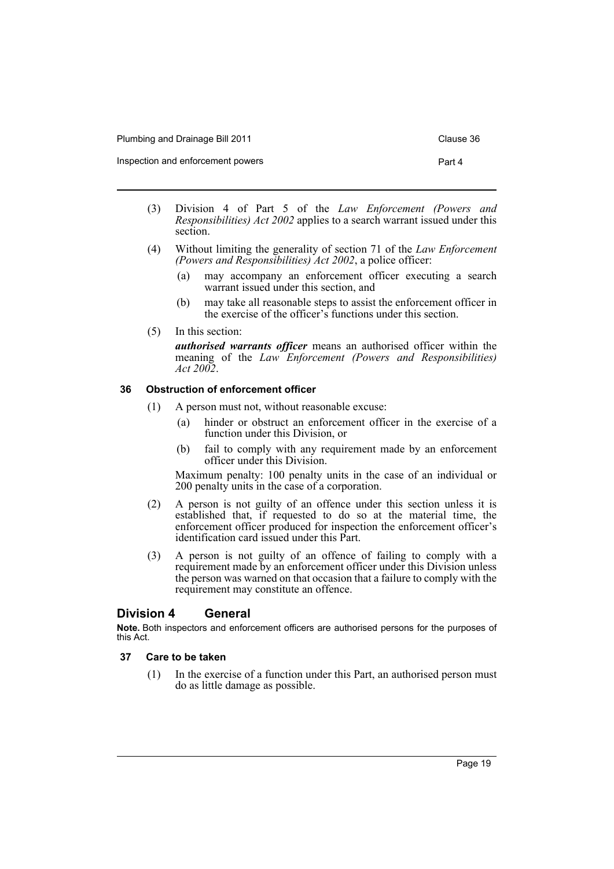| Plumbing and Drainage Bill 2011 | Clause 36 |
|---------------------------------|-----------|
|---------------------------------|-----------|

Inspection and enforcement powers **Part 4** 

- (3) Division 4 of Part 5 of the *Law Enforcement (Powers and Responsibilities) Act 2002* applies to a search warrant issued under this section.
- (4) Without limiting the generality of section 71 of the *Law Enforcement (Powers and Responsibilities) Act 2002*, a police officer:
	- (a) may accompany an enforcement officer executing a search warrant issued under this section, and
	- (b) may take all reasonable steps to assist the enforcement officer in the exercise of the officer's functions under this section.
- (5) In this section:

*authorised warrants officer* means an authorised officer within the meaning of the *Law Enforcement (Powers and Responsibilities) Act 2002*.

### <span id="page-22-0"></span>**36 Obstruction of enforcement officer**

- (1) A person must not, without reasonable excuse:
	- (a) hinder or obstruct an enforcement officer in the exercise of a function under this Division, or
	- (b) fail to comply with any requirement made by an enforcement officer under this Division.

Maximum penalty: 100 penalty units in the case of an individual or 200 penalty units in the case of a corporation.

- (2) A person is not guilty of an offence under this section unless it is established that, if requested to do so at the material time, the enforcement officer produced for inspection the enforcement officer's identification card issued under this Part.
- (3) A person is not guilty of an offence of failing to comply with a requirement made by an enforcement officer under this Division unless the person was warned on that occasion that a failure to comply with the requirement may constitute an offence.

### <span id="page-22-1"></span>**Division 4 General**

**Note.** Both inspectors and enforcement officers are authorised persons for the purposes of this Act.

### <span id="page-22-2"></span>**37 Care to be taken**

(1) In the exercise of a function under this Part, an authorised person must do as little damage as possible.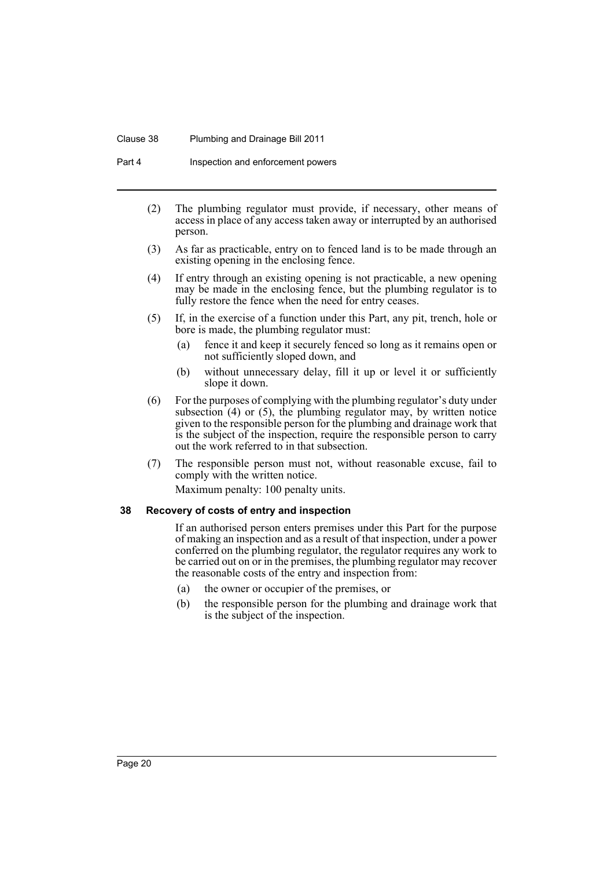#### Clause 38 Plumbing and Drainage Bill 2011

Part 4 **Inspection and enforcement powers** 

- (2) The plumbing regulator must provide, if necessary, other means of access in place of any access taken away or interrupted by an authorised person.
- (3) As far as practicable, entry on to fenced land is to be made through an existing opening in the enclosing fence.
- (4) If entry through an existing opening is not practicable, a new opening may be made in the enclosing fence, but the plumbing regulator is to fully restore the fence when the need for entry ceases.
- (5) If, in the exercise of a function under this Part, any pit, trench, hole or bore is made, the plumbing regulator must:
	- (a) fence it and keep it securely fenced so long as it remains open or not sufficiently sloped down, and
	- (b) without unnecessary delay, fill it up or level it or sufficiently slope it down.
- (6) For the purposes of complying with the plumbing regulator's duty under subsection  $(4)$  or  $(5)$ , the plumbing regulator may, by written notice given to the responsible person for the plumbing and drainage work that is the subject of the inspection, require the responsible person to carry out the work referred to in that subsection.
- (7) The responsible person must not, without reasonable excuse, fail to comply with the written notice. Maximum penalty: 100 penalty units.

#### <span id="page-23-0"></span>**38 Recovery of costs of entry and inspection**

If an authorised person enters premises under this Part for the purpose of making an inspection and as a result of that inspection, under a power conferred on the plumbing regulator, the regulator requires any work to be carried out on or in the premises, the plumbing regulator may recover the reasonable costs of the entry and inspection from:

- (a) the owner or occupier of the premises, or
- (b) the responsible person for the plumbing and drainage work that is the subject of the inspection.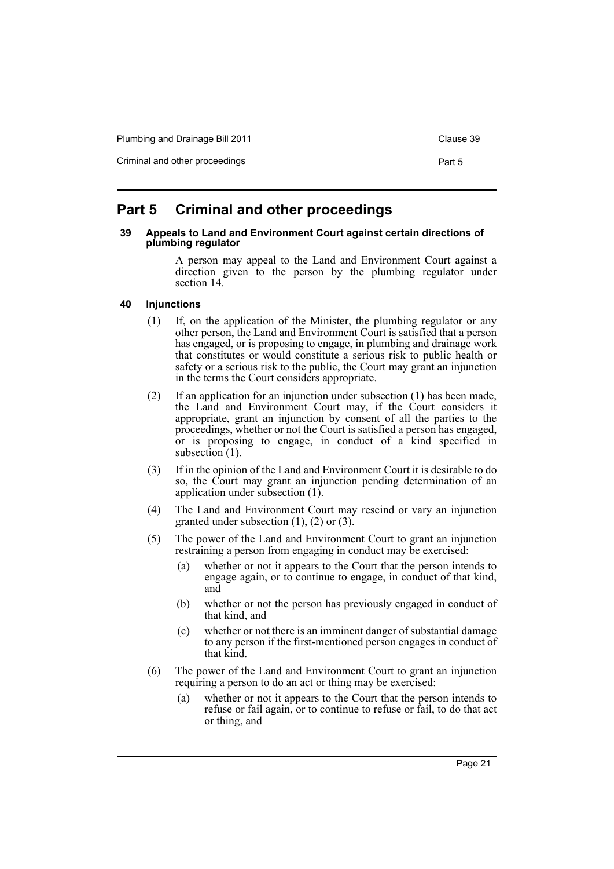Plumbing and Drainage Bill 2011 Clause 39

Criminal and other proceedings **Part 5** Part 5

### <span id="page-24-0"></span>**Part 5 Criminal and other proceedings**

#### <span id="page-24-1"></span>**39 Appeals to Land and Environment Court against certain directions of plumbing regulator**

A person may appeal to the Land and Environment Court against a direction given to the person by the plumbing regulator under section 14.

### <span id="page-24-2"></span>**40 Injunctions**

- (1) If, on the application of the Minister, the plumbing regulator or any other person, the Land and Environment Court is satisfied that a person has engaged, or is proposing to engage, in plumbing and drainage work that constitutes or would constitute a serious risk to public health or safety or a serious risk to the public, the Court may grant an injunction in the terms the Court considers appropriate.
- (2) If an application for an injunction under subsection (1) has been made, the Land and Environment Court may, if the Court considers it appropriate, grant an injunction by consent of all the parties to the proceedings, whether or not the Court is satisfied a person has engaged, or is proposing to engage, in conduct of a kind specified in subsection  $(1)$ .
- (3) If in the opinion of the Land and Environment Court it is desirable to do so, the Court may grant an injunction pending determination of an application under subsection (1).
- (4) The Land and Environment Court may rescind or vary an injunction granted under subsection  $(1)$ ,  $(2)$  or  $(3)$ .
- (5) The power of the Land and Environment Court to grant an injunction restraining a person from engaging in conduct may be exercised:
	- (a) whether or not it appears to the Court that the person intends to engage again, or to continue to engage, in conduct of that kind, and
	- (b) whether or not the person has previously engaged in conduct of that kind, and
	- (c) whether or not there is an imminent danger of substantial damage to any person if the first-mentioned person engages in conduct of that kind.
- (6) The power of the Land and Environment Court to grant an injunction requiring a person to do an act or thing may be exercised:
	- (a) whether or not it appears to the Court that the person intends to refuse or fail again, or to continue to refuse or fail, to do that act or thing, and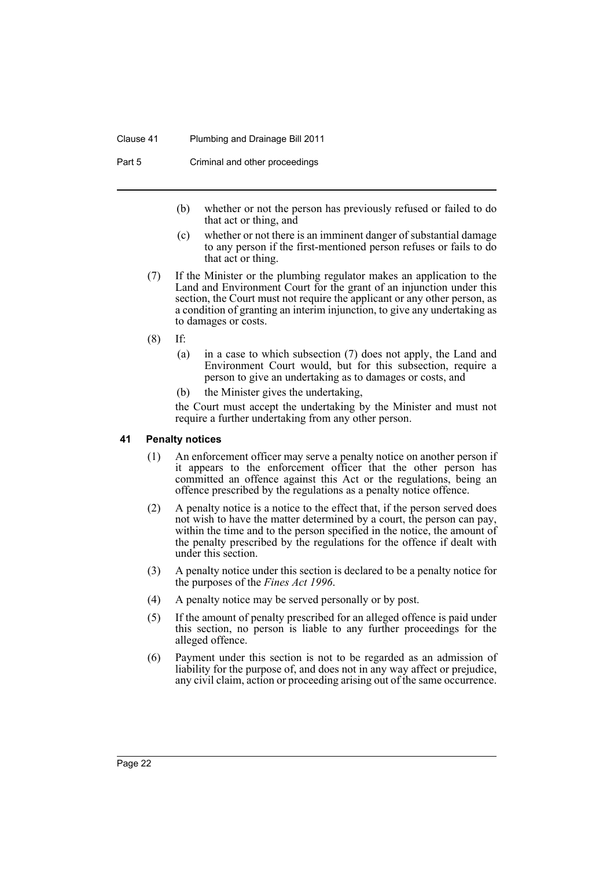#### Clause 41 Plumbing and Drainage Bill 2011

Part 5 Criminal and other proceedings

- (b) whether or not the person has previously refused or failed to do that act or thing, and
- (c) whether or not there is an imminent danger of substantial damage to any person if the first-mentioned person refuses or fails to do that act or thing.
- (7) If the Minister or the plumbing regulator makes an application to the Land and Environment Court for the grant of an injunction under this section, the Court must not require the applicant or any other person, as a condition of granting an interim injunction, to give any undertaking as to damages or costs.
- (8) If:
	- (a) in a case to which subsection (7) does not apply, the Land and Environment Court would, but for this subsection, require a person to give an undertaking as to damages or costs, and
	- (b) the Minister gives the undertaking,

the Court must accept the undertaking by the Minister and must not require a further undertaking from any other person.

### <span id="page-25-0"></span>**41 Penalty notices**

- (1) An enforcement officer may serve a penalty notice on another person if it appears to the enforcement officer that the other person has committed an offence against this Act or the regulations, being an offence prescribed by the regulations as a penalty notice offence.
- (2) A penalty notice is a notice to the effect that, if the person served does not wish to have the matter determined by a court, the person can pay, within the time and to the person specified in the notice, the amount of the penalty prescribed by the regulations for the offence if dealt with under this section.
- (3) A penalty notice under this section is declared to be a penalty notice for the purposes of the *Fines Act 1996*.
- (4) A penalty notice may be served personally or by post.
- (5) If the amount of penalty prescribed for an alleged offence is paid under this section, no person is liable to any further proceedings for the alleged offence.
- (6) Payment under this section is not to be regarded as an admission of liability for the purpose of, and does not in any way affect or prejudice, any civil claim, action or proceeding arising out of the same occurrence.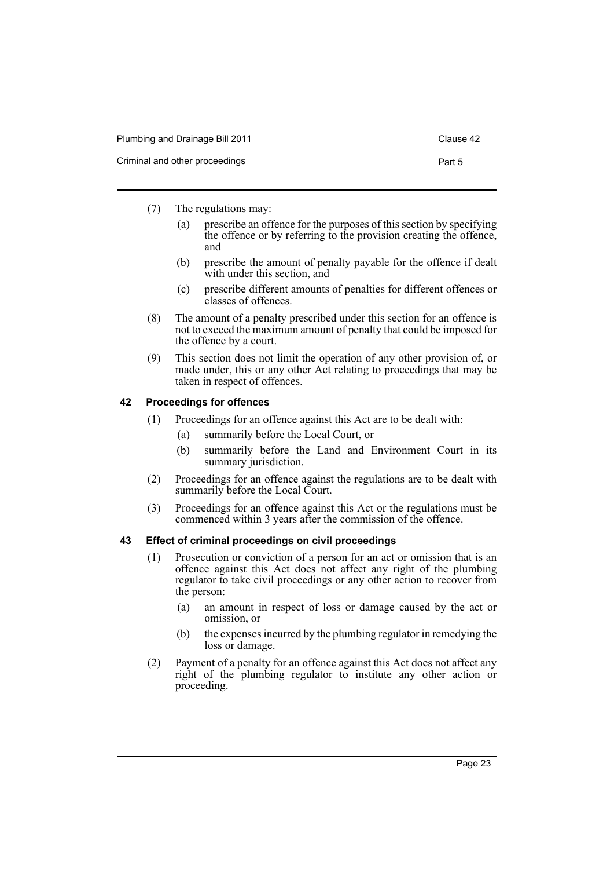| Plumbing and Drainage Bill 2011 | Clause 42 |
|---------------------------------|-----------|
| Criminal and other proceedings  | Part 5    |

- (7) The regulations may:
	- (a) prescribe an offence for the purposes of this section by specifying the offence or by referring to the provision creating the offence, and
	- (b) prescribe the amount of penalty payable for the offence if dealt with under this section, and
	- (c) prescribe different amounts of penalties for different offences or classes of offences.
- (8) The amount of a penalty prescribed under this section for an offence is not to exceed the maximum amount of penalty that could be imposed for the offence by a court.
- (9) This section does not limit the operation of any other provision of, or made under, this or any other Act relating to proceedings that may be taken in respect of offences.

### <span id="page-26-0"></span>**42 Proceedings for offences**

- (1) Proceedings for an offence against this Act are to be dealt with:
	- (a) summarily before the Local Court, or
	- (b) summarily before the Land and Environment Court in its summary jurisdiction.
- (2) Proceedings for an offence against the regulations are to be dealt with summarily before the Local Court.
- (3) Proceedings for an offence against this Act or the regulations must be commenced within 3 years after the commission of the offence.

### <span id="page-26-1"></span>**43 Effect of criminal proceedings on civil proceedings**

- (1) Prosecution or conviction of a person for an act or omission that is an offence against this Act does not affect any right of the plumbing regulator to take civil proceedings or any other action to recover from the person:
	- (a) an amount in respect of loss or damage caused by the act or omission, or
	- (b) the expenses incurred by the plumbing regulator in remedying the loss or damage.
- (2) Payment of a penalty for an offence against this Act does not affect any right of the plumbing regulator to institute any other action or proceeding.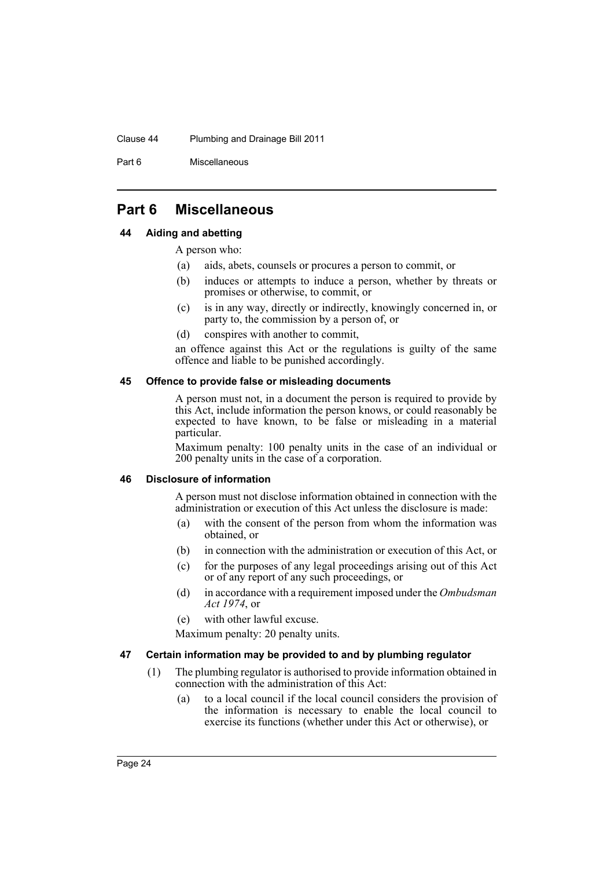#### Clause 44 Plumbing and Drainage Bill 2011

Part 6 Miscellaneous

### <span id="page-27-0"></span>**Part 6 Miscellaneous**

### <span id="page-27-1"></span>**44 Aiding and abetting**

A person who:

- (a) aids, abets, counsels or procures a person to commit, or
- (b) induces or attempts to induce a person, whether by threats or promises or otherwise, to commit, or
- (c) is in any way, directly or indirectly, knowingly concerned in, or party to, the commission by a person of, or
- (d) conspires with another to commit,

an offence against this Act or the regulations is guilty of the same offence and liable to be punished accordingly.

### <span id="page-27-2"></span>**45 Offence to provide false or misleading documents**

A person must not, in a document the person is required to provide by this Act, include information the person knows, or could reasonably be expected to have known, to be false or misleading in a material particular.

Maximum penalty: 100 penalty units in the case of an individual or 200 penalty units in the case of a corporation.

### <span id="page-27-3"></span>**46 Disclosure of information**

A person must not disclose information obtained in connection with the administration or execution of this Act unless the disclosure is made:

- (a) with the consent of the person from whom the information was obtained, or
- (b) in connection with the administration or execution of this Act, or
- (c) for the purposes of any legal proceedings arising out of this Act or of any report of any such proceedings, or
- (d) in accordance with a requirement imposed under the *Ombudsman Act 1974*, or
- (e) with other lawful excuse.

Maximum penalty: 20 penalty units.

### <span id="page-27-4"></span>**47 Certain information may be provided to and by plumbing regulator**

- (1) The plumbing regulator is authorised to provide information obtained in connection with the administration of this Act:
	- (a) to a local council if the local council considers the provision of the information is necessary to enable the local council to exercise its functions (whether under this Act or otherwise), or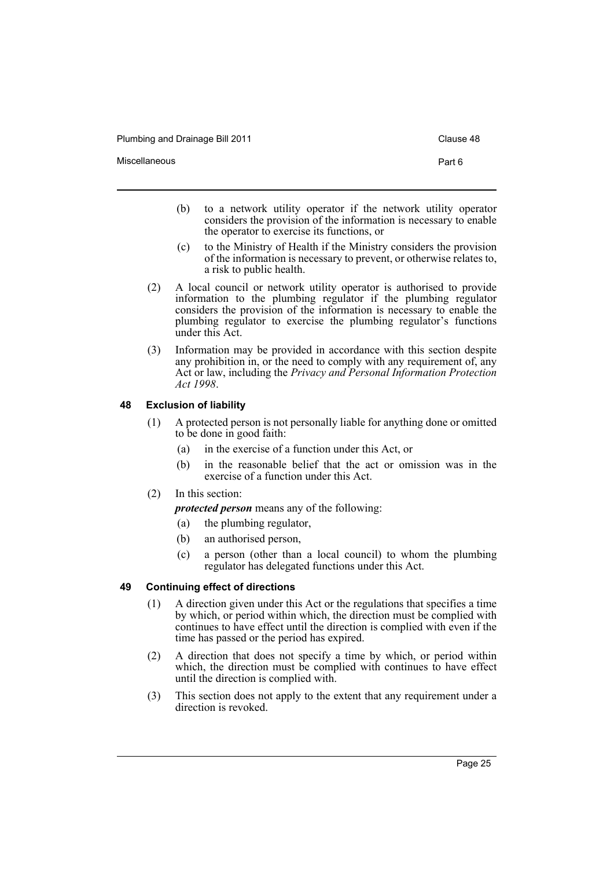Plumbing and Drainage Bill 2011 Clause 48

- 
- (b) to a network utility operator if the network utility operator considers the provision of the information is necessary to enable the operator to exercise its functions, or
- (c) to the Ministry of Health if the Ministry considers the provision of the information is necessary to prevent, or otherwise relates to, a risk to public health.
- (2) A local council or network utility operator is authorised to provide information to the plumbing regulator if the plumbing regulator considers the provision of the information is necessary to enable the plumbing regulator to exercise the plumbing regulator's functions under this Act.
- (3) Information may be provided in accordance with this section despite any prohibition in, or the need to comply with any requirement of, any Act or law, including the *Privacy and Personal Information Protection Act 1998*.

### <span id="page-28-0"></span>**48 Exclusion of liability**

- (1) A protected person is not personally liable for anything done or omitted to be done in good faith:
	- (a) in the exercise of a function under this Act, or
	- (b) in the reasonable belief that the act or omission was in the exercise of a function under this Act.
- (2) In this section:

*protected person* means any of the following:

- (a) the plumbing regulator,
- (b) an authorised person,
- (c) a person (other than a local council) to whom the plumbing regulator has delegated functions under this Act.

### <span id="page-28-1"></span>**49 Continuing effect of directions**

- (1) A direction given under this Act or the regulations that specifies a time by which, or period within which, the direction must be complied with continues to have effect until the direction is complied with even if the time has passed or the period has expired.
- (2) A direction that does not specify a time by which, or period within which, the direction must be complied with continues to have effect until the direction is complied with.
- (3) This section does not apply to the extent that any requirement under a direction is revoked.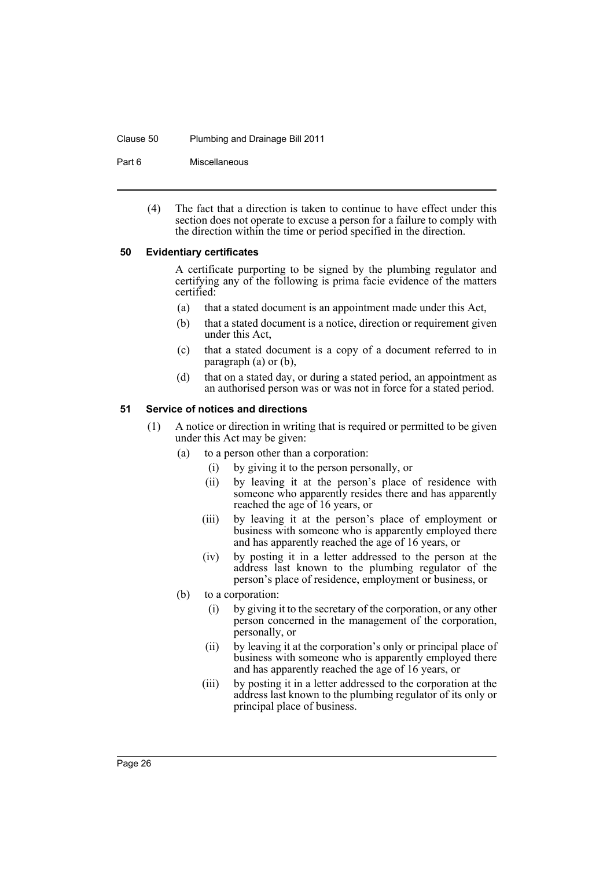#### Clause 50 Plumbing and Drainage Bill 2011

Part 6 Miscellaneous

(4) The fact that a direction is taken to continue to have effect under this section does not operate to excuse a person for a failure to comply with the direction within the time or period specified in the direction.

#### <span id="page-29-0"></span>**50 Evidentiary certificates**

A certificate purporting to be signed by the plumbing regulator and certifying any of the following is prima facie evidence of the matters certified:

- (a) that a stated document is an appointment made under this Act,
- (b) that a stated document is a notice, direction or requirement given under this Act,
- (c) that a stated document is a copy of a document referred to in paragraph (a) or (b),
- (d) that on a stated day, or during a stated period, an appointment as an authorised person was or was not in force for a stated period.

#### <span id="page-29-1"></span>**51 Service of notices and directions**

- (1) A notice or direction in writing that is required or permitted to be given under this Act may be given:
	- (a) to a person other than a corporation:
		- (i) by giving it to the person personally, or
		- (ii) by leaving it at the person's place of residence with someone who apparently resides there and has apparently reached the age of 16 years, or
		- (iii) by leaving it at the person's place of employment or business with someone who is apparently employed there and has apparently reached the age of 16 years, or
		- (iv) by posting it in a letter addressed to the person at the address last known to the plumbing regulator of the person's place of residence, employment or business, or
	- (b) to a corporation:
		- (i) by giving it to the secretary of the corporation, or any other person concerned in the management of the corporation, personally, or
		- (ii) by leaving it at the corporation's only or principal place of business with someone who is apparently employed there and has apparently reached the age of 16 years, or
		- (iii) by posting it in a letter addressed to the corporation at the address last known to the plumbing regulator of its only or principal place of business.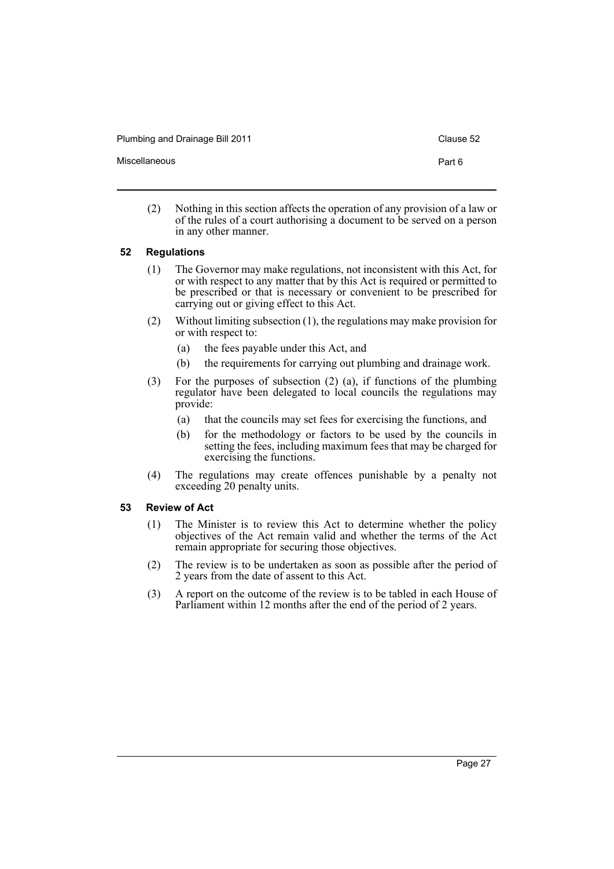Plumbing and Drainage Bill 2011 Clause 52

Miscellaneous **Part 6** 

- 
- (2) Nothing in this section affects the operation of any provision of a law or of the rules of a court authorising a document to be served on a person in any other manner.

### <span id="page-30-0"></span>**52 Regulations**

- (1) The Governor may make regulations, not inconsistent with this Act, for or with respect to any matter that by this Act is required or permitted to be prescribed or that is necessary or convenient to be prescribed for carrying out or giving effect to this Act.
- (2) Without limiting subsection (1), the regulations may make provision for or with respect to:
	- (a) the fees payable under this Act, and
	- (b) the requirements for carrying out plumbing and drainage work.
- (3) For the purposes of subsection (2) (a), if functions of the plumbing regulator have been delegated to local councils the regulations may provide:
	- (a) that the councils may set fees for exercising the functions, and
	- (b) for the methodology or factors to be used by the councils in setting the fees, including maximum fees that may be charged for exercising the functions.
- (4) The regulations may create offences punishable by a penalty not exceeding 20 penalty units.

### <span id="page-30-1"></span>**53 Review of Act**

- (1) The Minister is to review this Act to determine whether the policy objectives of the Act remain valid and whether the terms of the Act remain appropriate for securing those objectives.
- (2) The review is to be undertaken as soon as possible after the period of 2 years from the date of assent to this Act.
- (3) A report on the outcome of the review is to be tabled in each House of Parliament within 12 months after the end of the period of 2 years.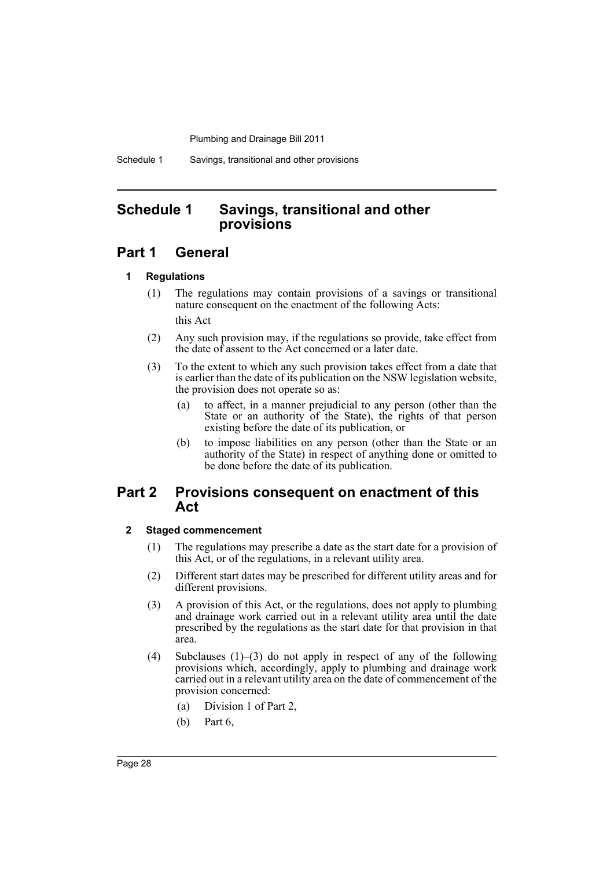Schedule 1 Savings, transitional and other provisions

### <span id="page-31-0"></span>**Schedule 1 Savings, transitional and other provisions**

### **Part 1 General**

### **1 Regulations**

- (1) The regulations may contain provisions of a savings or transitional nature consequent on the enactment of the following Acts: this Act
- (2) Any such provision may, if the regulations so provide, take effect from the date of assent to the Act concerned or a later date.
- (3) To the extent to which any such provision takes effect from a date that is earlier than the date of its publication on the NSW legislation website, the provision does not operate so as:
	- (a) to affect, in a manner prejudicial to any person (other than the State or an authority of the State), the rights of that person existing before the date of its publication, or
	- (b) to impose liabilities on any person (other than the State or an authority of the State) in respect of anything done or omitted to be done before the date of its publication.

### **Part 2 Provisions consequent on enactment of this Act**

### **2 Staged commencement**

- (1) The regulations may prescribe a date as the start date for a provision of this Act, or of the regulations, in a relevant utility area.
- (2) Different start dates may be prescribed for different utility areas and for different provisions.
- (3) A provision of this Act, or the regulations, does not apply to plumbing and drainage work carried out in a relevant utility area until the date prescribed by the regulations as the start date for that provision in that area.
- (4) Subclauses (1)–(3) do not apply in respect of any of the following provisions which, accordingly, apply to plumbing and drainage work carried out in a relevant utility area on the date of commencement of the provision concerned:
	- (a) Division 1 of Part 2,
	- (b) Part 6,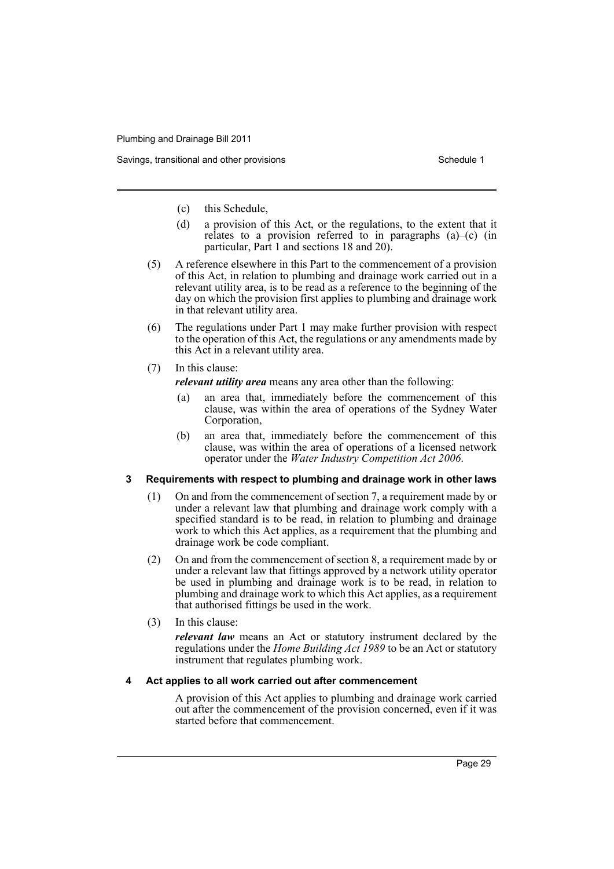- (c) this Schedule,
- (d) a provision of this Act, or the regulations, to the extent that it relates to a provision referred to in paragraphs (a)–(c) (in particular, Part 1 and sections 18 and 20).
- (5) A reference elsewhere in this Part to the commencement of a provision of this Act, in relation to plumbing and drainage work carried out in a relevant utility area, is to be read as a reference to the beginning of the day on which the provision first applies to plumbing and drainage work in that relevant utility area.
- (6) The regulations under Part 1 may make further provision with respect to the operation of this Act, the regulations or any amendments made by this Act in a relevant utility area.
- (7) In this clause:

*relevant utility area* means any area other than the following:

- (a) an area that, immediately before the commencement of this clause, was within the area of operations of the Sydney Water Corporation,
- (b) an area that, immediately before the commencement of this clause, was within the area of operations of a licensed network operator under the *Water Industry Competition Act 2006*.

#### **3 Requirements with respect to plumbing and drainage work in other laws**

- (1) On and from the commencement of section 7, a requirement made by or under a relevant law that plumbing and drainage work comply with a specified standard is to be read, in relation to plumbing and drainage work to which this Act applies, as a requirement that the plumbing and drainage work be code compliant.
- (2) On and from the commencement of section 8, a requirement made by or under a relevant law that fittings approved by a network utility operator be used in plumbing and drainage work is to be read, in relation to plumbing and drainage work to which this Act applies, as a requirement that authorised fittings be used in the work.
- (3) In this clause:

*relevant law* means an Act or statutory instrument declared by the regulations under the *Home Building Act 1989* to be an Act or statutory instrument that regulates plumbing work.

#### **4 Act applies to all work carried out after commencement**

A provision of this Act applies to plumbing and drainage work carried out after the commencement of the provision concerned, even if it was started before that commencement.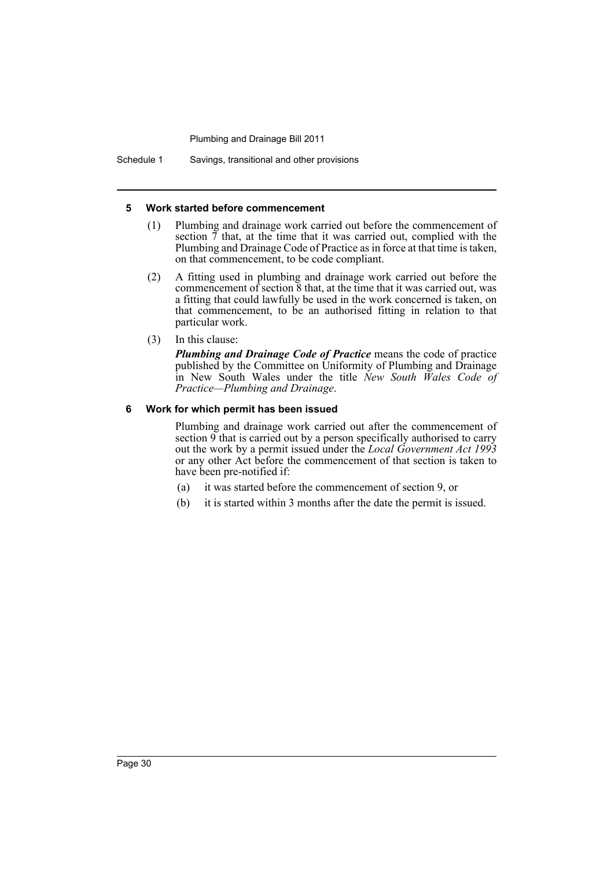Schedule 1 Savings, transitional and other provisions

#### **5 Work started before commencement**

- (1) Plumbing and drainage work carried out before the commencement of section  $\tilde{\tau}$  that, at the time that it was carried out, complied with the Plumbing and Drainage Code of Practice as in force at that time is taken, on that commencement, to be code compliant.
- (2) A fitting used in plumbing and drainage work carried out before the commencement of section  $\tilde{8}$  that, at the time that it was carried out, was a fitting that could lawfully be used in the work concerned is taken, on that commencement, to be an authorised fitting in relation to that particular work.
- (3) In this clause:

*Plumbing and Drainage Code of Practice* means the code of practice published by the Committee on Uniformity of Plumbing and Drainage in New South Wales under the title *New South Wales Code of Practice—Plumbing and Drainage*.

#### **6 Work for which permit has been issued**

Plumbing and drainage work carried out after the commencement of section 9 that is carried out by a person specifically authorised to carry out the work by a permit issued under the *Local Government Act 1993* or any other Act before the commencement of that section is taken to have been pre-notified if:

- (a) it was started before the commencement of section 9, or
- (b) it is started within 3 months after the date the permit is issued.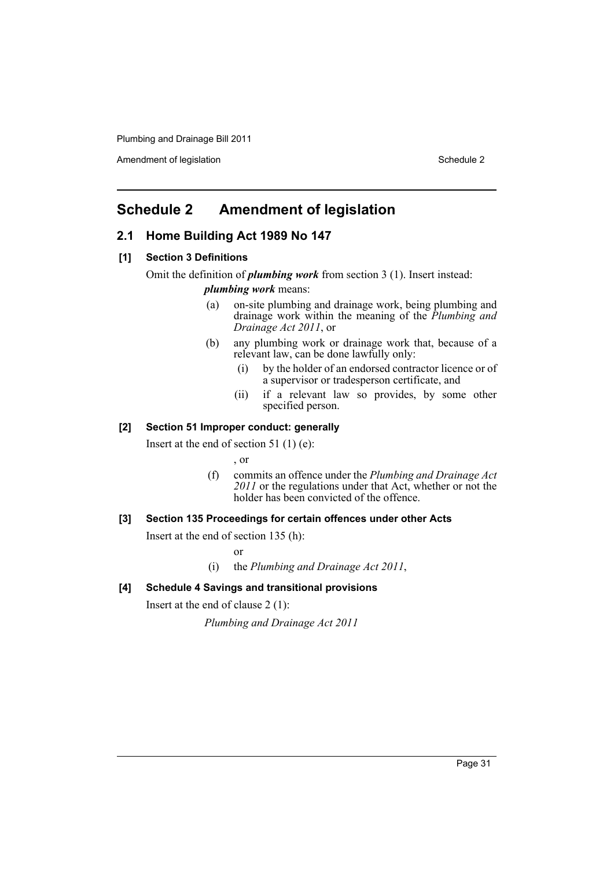Amendment of legislation **Schedule 2** Schedule 2

### <span id="page-34-0"></span>**Schedule 2 Amendment of legislation**

### **2.1 Home Building Act 1989 No 147**

### **[1] Section 3 Definitions**

Omit the definition of *plumbing work* from section 3 (1). Insert instead:

*plumbing work* means:

- (a) on-site plumbing and drainage work, being plumbing and drainage work within the meaning of the *Plumbing and Drainage Act 2011*, or
- (b) any plumbing work or drainage work that, because of a relevant law, can be done lawfully only:
	- (i) by the holder of an endorsed contractor licence or of a supervisor or tradesperson certificate, and
	- (ii) if a relevant law so provides, by some other specified person.

### **[2] Section 51 Improper conduct: generally**

Insert at the end of section 51 (1) (e):

, or

(f) commits an offence under the *Plumbing and Drainage Act 2011* or the regulations under that Act, whether or not the holder has been convicted of the offence.

### **[3] Section 135 Proceedings for certain offences under other Acts**

Insert at the end of section 135 (h):

or

(i) the *Plumbing and Drainage Act 2011*,

### **[4] Schedule 4 Savings and transitional provisions**

Insert at the end of clause 2 (1):

*Plumbing and Drainage Act 2011*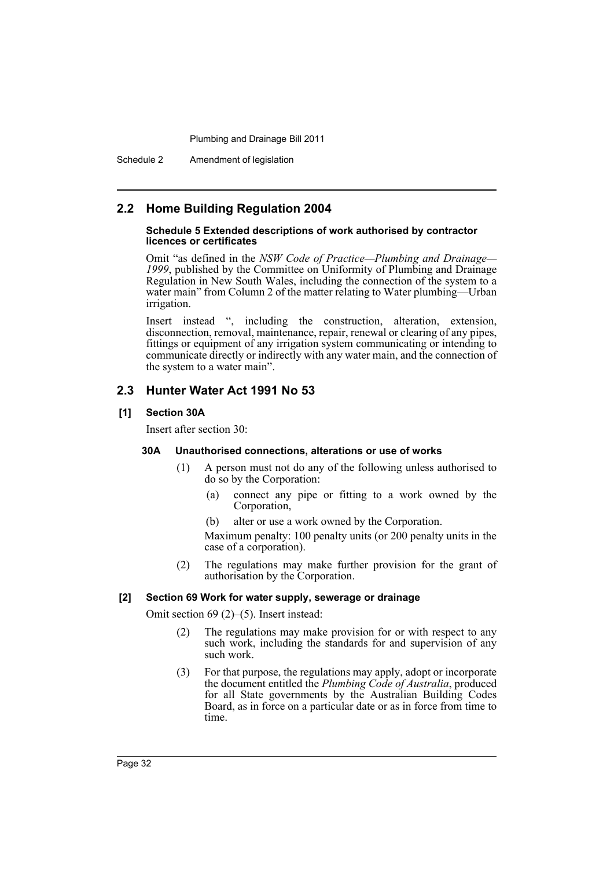Schedule 2 Amendment of legislation

### **2.2 Home Building Regulation 2004**

#### **Schedule 5 Extended descriptions of work authorised by contractor licences or certificates**

Omit "as defined in the *NSW Code of Practice—Plumbing and Drainage— 1999*, published by the Committee on Uniformity of Plumbing and Drainage Regulation in New South Wales, including the connection of the system to a water main" from Column 2 of the matter relating to Water plumbing—Urban irrigation.

Insert instead ", including the construction, alteration, extension, disconnection, removal, maintenance, repair, renewal or clearing of any pipes, fittings or equipment of any irrigation system communicating or intending to communicate directly or indirectly with any water main, and the connection of the system to a water main".

### **2.3 Hunter Water Act 1991 No 53**

### **[1] Section 30A**

Insert after section 30:

#### **30A Unauthorised connections, alterations or use of works**

- (1) A person must not do any of the following unless authorised to do so by the Corporation:
	- (a) connect any pipe or fitting to a work owned by the Corporation,
	- (b) alter or use a work owned by the Corporation.

Maximum penalty: 100 penalty units (or 200 penalty units in the case of a corporation).

(2) The regulations may make further provision for the grant of authorisation by the Corporation.

#### **[2] Section 69 Work for water supply, sewerage or drainage**

Omit section 69 (2)–(5). Insert instead:

- (2) The regulations may make provision for or with respect to any such work, including the standards for and supervision of any such work.
- (3) For that purpose, the regulations may apply, adopt or incorporate the document entitled the *Plumbing Code of Australia*, produced for all State governments by the Australian Building Codes Board, as in force on a particular date or as in force from time to time.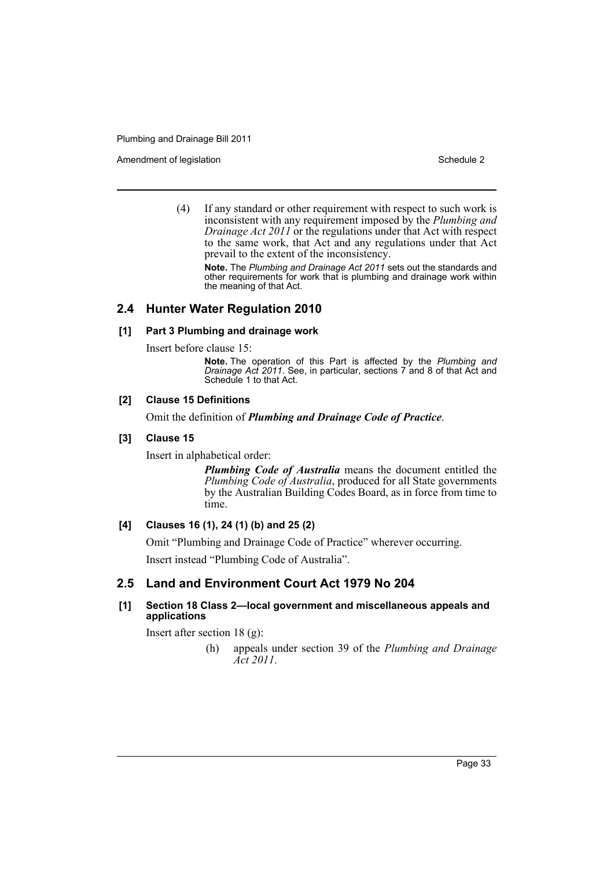Amendment of legislation Nation Schedule 2

(4) If any standard or other requirement with respect to such work is inconsistent with any requirement imposed by the *Plumbing and Drainage Act 2011* or the regulations under that Act with respect to the same work, that Act and any regulations under that Act prevail to the extent of the inconsistency.

**Note.** The *Plumbing and Drainage Act 2011* sets out the standards and other requirements for work that is plumbing and drainage work within the meaning of that Act.

### **2.4 Hunter Water Regulation 2010**

### **[1] Part 3 Plumbing and drainage work**

Insert before clause 15:

**Note.** The operation of this Part is affected by the *Plumbing and Drainage Act 2011*. See, in particular, sections 7 and 8 of that Act and Schedule 1 to that Act.

### **[2] Clause 15 Definitions**

Omit the definition of *Plumbing and Drainage Code of Practice*.

### **[3] Clause 15**

Insert in alphabetical order:

*Plumbing Code of Australia* means the document entitled the *Plumbing Code of Australia*, produced for all State governments by the Australian Building Codes Board, as in force from time to time.

### **[4] Clauses 16 (1), 24 (1) (b) and 25 (2)**

Omit "Plumbing and Drainage Code of Practice" wherever occurring.

Insert instead "Plumbing Code of Australia".

### **2.5 Land and Environment Court Act 1979 No 204**

### **[1] Section 18 Class 2—local government and miscellaneous appeals and applications**

Insert after section 18 (g):

(h) appeals under section 39 of the *Plumbing and Drainage Act 2011*.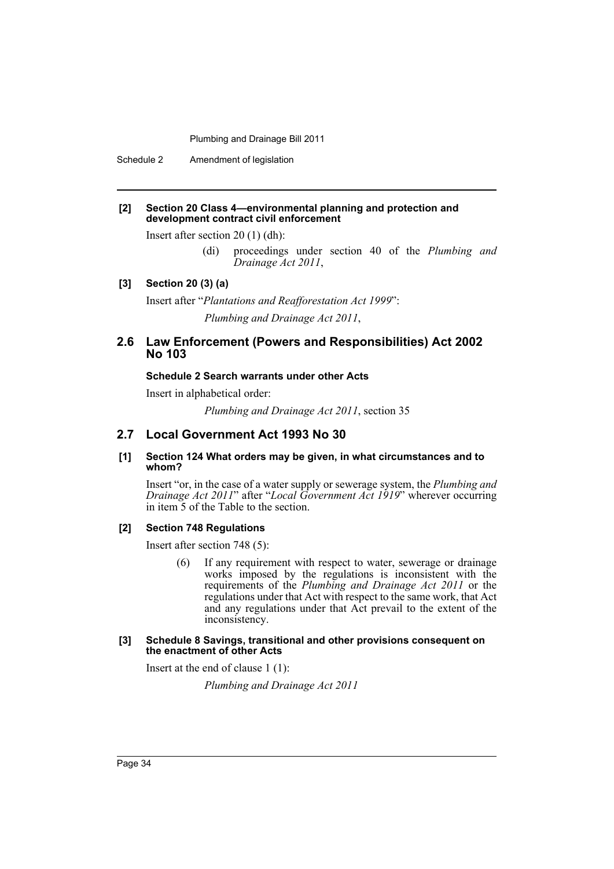Schedule 2 Amendment of legislation

#### **[2] Section 20 Class 4—environmental planning and protection and development contract civil enforcement**

Insert after section 20 (1) (dh):

(di) proceedings under section 40 of the *Plumbing and Drainage Act 2011*,

#### **[3] Section 20 (3) (a)**

Insert after "*Plantations and Reafforestation Act 1999*":

*Plumbing and Drainage Act 2011*,

### **2.6 Law Enforcement (Powers and Responsibilities) Act 2002 No 103**

#### **Schedule 2 Search warrants under other Acts**

Insert in alphabetical order:

*Plumbing and Drainage Act 2011*, section 35

### **2.7 Local Government Act 1993 No 30**

**[1] Section 124 What orders may be given, in what circumstances and to whom?**

Insert "or, in the case of a water supply or sewerage system, the *Plumbing and Drainage Act 2011*" after "*Local Government Act 1919*" wherever occurring in item 5 of the Table to the section.

#### **[2] Section 748 Regulations**

Insert after section 748 (5):

(6) If any requirement with respect to water, sewerage or drainage works imposed by the regulations is inconsistent with the requirements of the *Plumbing and Drainage Act 2011* or the regulations under that Act with respect to the same work, that Act and any regulations under that Act prevail to the extent of the inconsistency.

#### **[3] Schedule 8 Savings, transitional and other provisions consequent on the enactment of other Acts**

Insert at the end of clause 1 (1):

*Plumbing and Drainage Act 2011*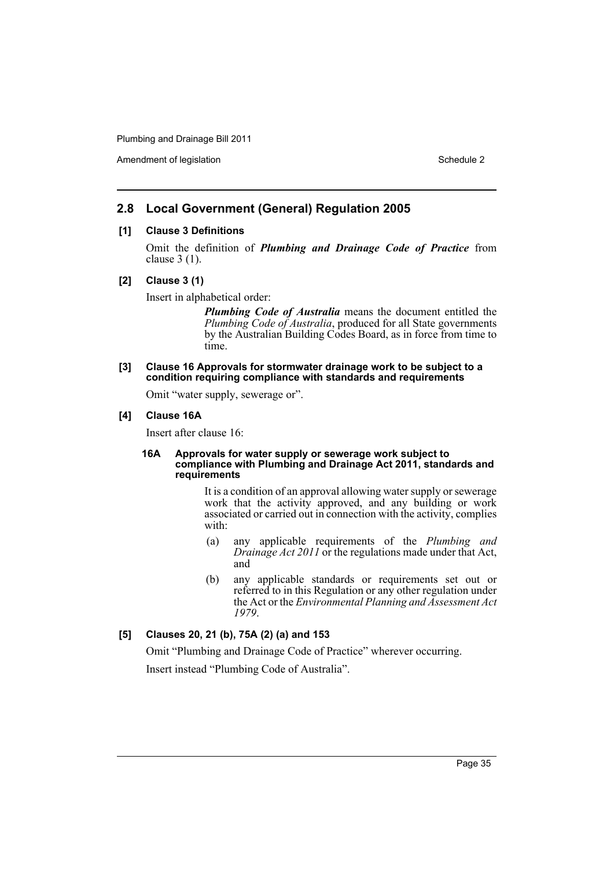Amendment of legislation New York 1999 and 2008 and 2009 and 2009 and 2009 and 2009 and 2009 and 2009 and 2009  $\mu$ 

### **2.8 Local Government (General) Regulation 2005**

### **[1] Clause 3 Definitions**

Omit the definition of *Plumbing and Drainage Code of Practice* from clause 3 (1).

### **[2] Clause 3 (1)**

Insert in alphabetical order:

*Plumbing Code of Australia* means the document entitled the *Plumbing Code of Australia*, produced for all State governments by the Australian Building Codes Board, as in force from time to time.

#### **[3] Clause 16 Approvals for stormwater drainage work to be subject to a condition requiring compliance with standards and requirements**

Omit "water supply, sewerage or".

#### **[4] Clause 16A**

Insert after clause 16:

#### **16A Approvals for water supply or sewerage work subject to compliance with Plumbing and Drainage Act 2011, standards and requirements**

It is a condition of an approval allowing water supply or sewerage work that the activity approved, and any building or work associated or carried out in connection with the activity, complies with:

- (a) any applicable requirements of the *Plumbing and Drainage Act 2011* or the regulations made under that Act, and
- (b) any applicable standards or requirements set out or referred to in this Regulation or any other regulation under the Act or the *Environmental Planning and Assessment Act 1979*.

### **[5] Clauses 20, 21 (b), 75A (2) (a) and 153**

Omit "Plumbing and Drainage Code of Practice" wherever occurring. Insert instead "Plumbing Code of Australia".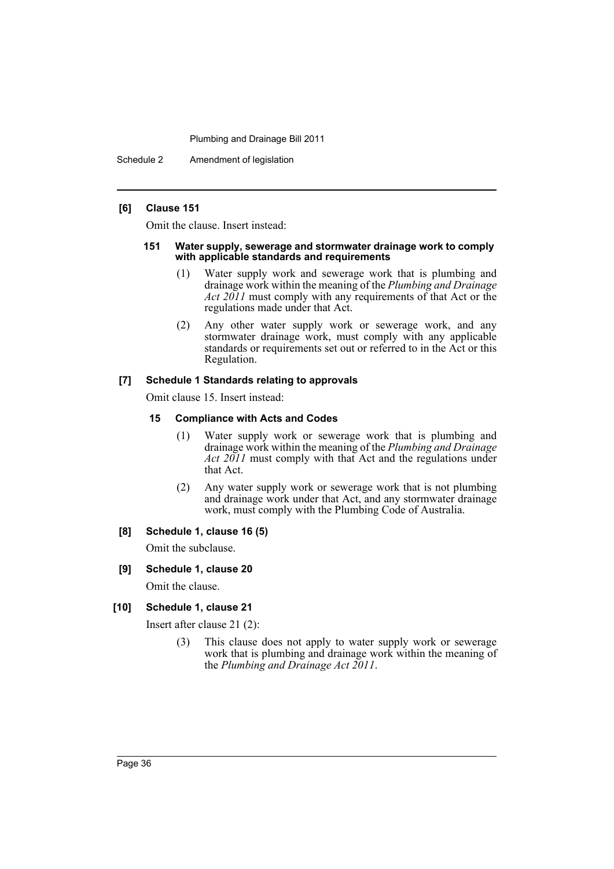Schedule 2 Amendment of legislation

#### **[6] Clause 151**

Omit the clause. Insert instead:

#### **151 Water supply, sewerage and stormwater drainage work to comply with applicable standards and requirements**

- (1) Water supply work and sewerage work that is plumbing and drainage work within the meaning of the *Plumbing and Drainage Act 2011* must comply with any requirements of that Act or the regulations made under that Act.
- (2) Any other water supply work or sewerage work, and any stormwater drainage work, must comply with any applicable standards or requirements set out or referred to in the Act or this Regulation.

### **[7] Schedule 1 Standards relating to approvals**

Omit clause 15. Insert instead:

#### **15 Compliance with Acts and Codes**

- (1) Water supply work or sewerage work that is plumbing and drainage work within the meaning of the *Plumbing and Drainage Act 2011* must comply with that Act and the regulations under that Act.
- (2) Any water supply work or sewerage work that is not plumbing and drainage work under that Act, and any stormwater drainage work, must comply with the Plumbing Code of Australia.

### **[8] Schedule 1, clause 16 (5)**

Omit the subclause.

#### **[9] Schedule 1, clause 20**

Omit the clause.

### **[10] Schedule 1, clause 21**

Insert after clause 21 (2):

(3) This clause does not apply to water supply work or sewerage work that is plumbing and drainage work within the meaning of the *Plumbing and Drainage Act 2011*.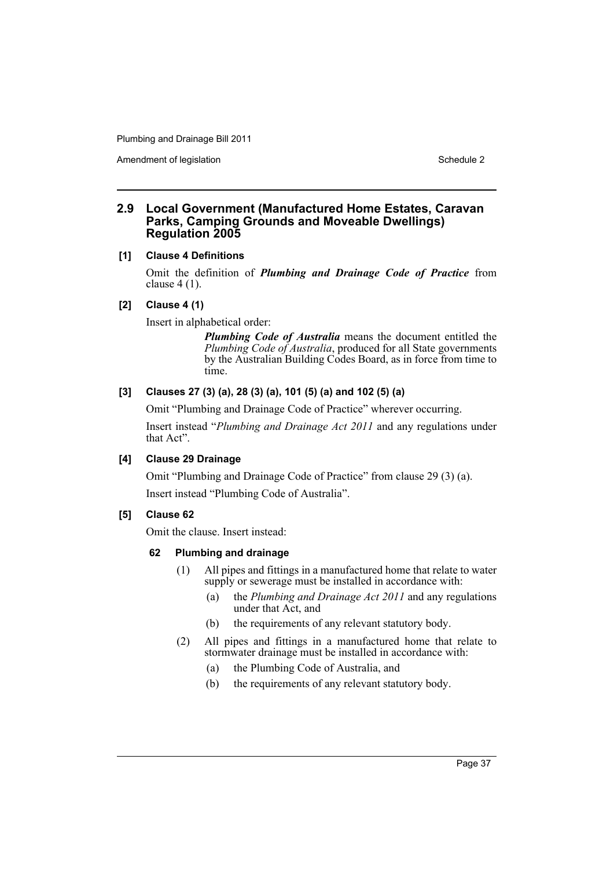Amendment of legislation Nation Schedule 2

### **2.9 Local Government (Manufactured Home Estates, Caravan Parks, Camping Grounds and Moveable Dwellings) Regulation 2005**

### **[1] Clause 4 Definitions**

Omit the definition of *Plumbing and Drainage Code of Practice* from clause 4 (1).

### **[2] Clause 4 (1)**

Insert in alphabetical order:

*Plumbing Code of Australia* means the document entitled the *Plumbing Code of Australia*, produced for all State governments by the Australian Building Codes Board, as in force from time to time.

### **[3] Clauses 27 (3) (a), 28 (3) (a), 101 (5) (a) and 102 (5) (a)**

Omit "Plumbing and Drainage Code of Practice" wherever occurring.

Insert instead "*Plumbing and Drainage Act 2011* and any regulations under that Act".

### **[4] Clause 29 Drainage**

Omit "Plumbing and Drainage Code of Practice" from clause 29 (3) (a).

Insert instead "Plumbing Code of Australia".

### **[5] Clause 62**

Omit the clause. Insert instead:

### **62 Plumbing and drainage**

- (1) All pipes and fittings in a manufactured home that relate to water supply or sewerage must be installed in accordance with:
	- (a) the *Plumbing and Drainage Act 2011* and any regulations under that Act, and
	- (b) the requirements of any relevant statutory body.
- (2) All pipes and fittings in a manufactured home that relate to stormwater drainage must be installed in accordance with:
	- (a) the Plumbing Code of Australia, and
	- (b) the requirements of any relevant statutory body.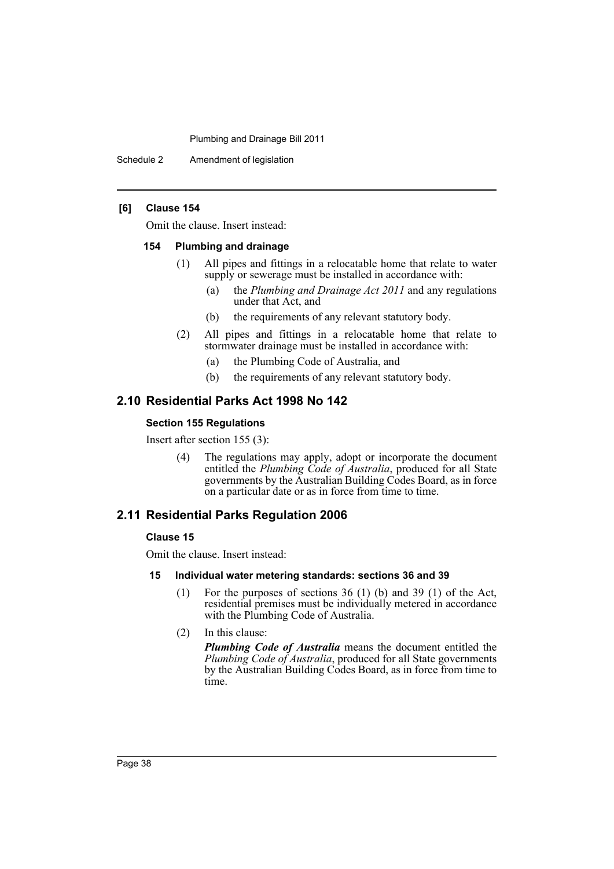Schedule 2 Amendment of legislation

#### **[6] Clause 154**

Omit the clause. Insert instead:

#### **154 Plumbing and drainage**

- (1) All pipes and fittings in a relocatable home that relate to water supply or sewerage must be installed in accordance with:
	- (a) the *Plumbing and Drainage Act 2011* and any regulations under that Act, and
	- (b) the requirements of any relevant statutory body.
- (2) All pipes and fittings in a relocatable home that relate to stormwater drainage must be installed in accordance with:
	- (a) the Plumbing Code of Australia, and
	- (b) the requirements of any relevant statutory body.

### **2.10 Residential Parks Act 1998 No 142**

### **Section 155 Regulations**

Insert after section 155 (3):

(4) The regulations may apply, adopt or incorporate the document entitled the *Plumbing Code of Australia*, produced for all State governments by the Australian Building Codes Board, as in force on a particular date or as in force from time to time.

### **2.11 Residential Parks Regulation 2006**

#### **Clause 15**

Omit the clause. Insert instead:

### **15 Individual water metering standards: sections 36 and 39**

- (1) For the purposes of sections 36 (1) (b) and 39 (1) of the Act, residential premises must be individually metered in accordance with the Plumbing Code of Australia.
- (2) In this clause:

*Plumbing Code of Australia* means the document entitled the *Plumbing Code of Australia*, produced for all State governments by the Australian Building Codes Board, as in force from time to time.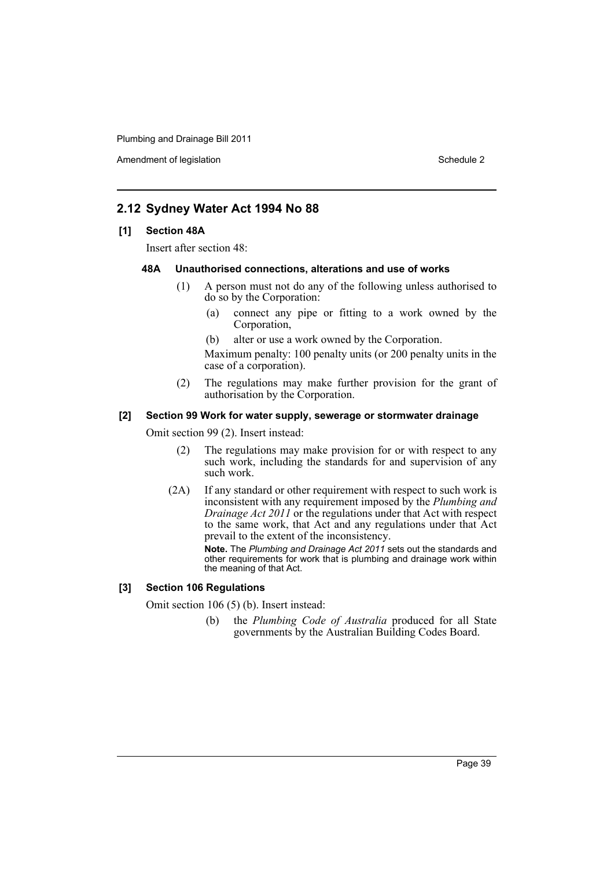Amendment of legislation New York 1999 and 2008 and 2009 and 2009 and 2009 and 2009 and 2009 and 2009 and 2009  $\mu$ 

### **2.12 Sydney Water Act 1994 No 88**

### **[1] Section 48A**

Insert after section 48:

#### **48A Unauthorised connections, alterations and use of works**

- (1) A person must not do any of the following unless authorised to do so by the Corporation:
	- (a) connect any pipe or fitting to a work owned by the Corporation,
	- (b) alter or use a work owned by the Corporation.

Maximum penalty: 100 penalty units (or 200 penalty units in the case of a corporation).

(2) The regulations may make further provision for the grant of authorisation by the Corporation.

#### **[2] Section 99 Work for water supply, sewerage or stormwater drainage**

Omit section 99 (2). Insert instead:

- (2) The regulations may make provision for or with respect to any such work, including the standards for and supervision of any such work.
- (2A) If any standard or other requirement with respect to such work is inconsistent with any requirement imposed by the *Plumbing and Drainage Act 2011* or the regulations under that Act with respect to the same work, that Act and any regulations under that Act prevail to the extent of the inconsistency.

**Note.** The *Plumbing and Drainage Act 2011* sets out the standards and other requirements for work that is plumbing and drainage work within the meaning of that Act.

#### **[3] Section 106 Regulations**

Omit section 106 (5) (b). Insert instead:

(b) the *Plumbing Code of Australia* produced for all State governments by the Australian Building Codes Board.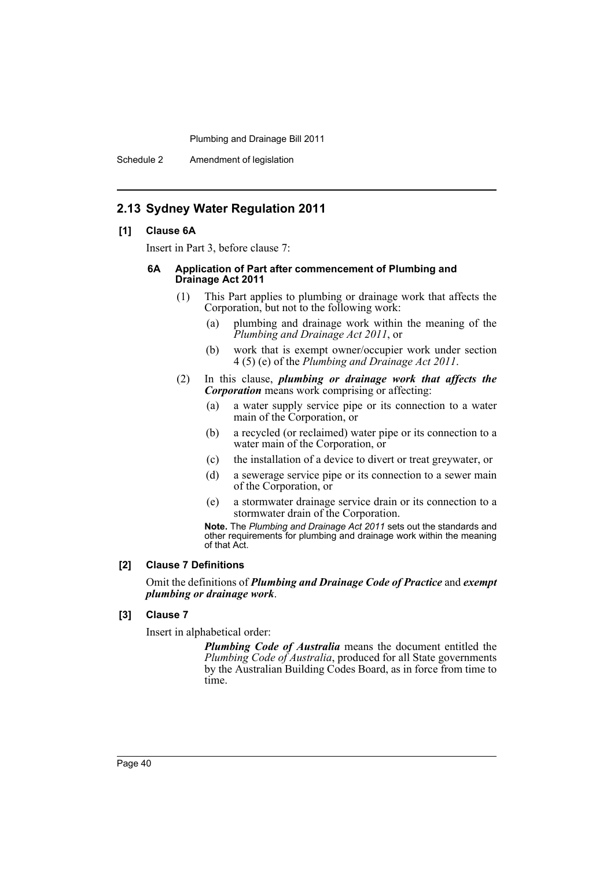Schedule 2 Amendment of legislation

### **2.13 Sydney Water Regulation 2011**

#### **[1] Clause 6A**

Insert in Part 3, before clause 7:

#### **6A Application of Part after commencement of Plumbing and Drainage Act 2011**

- (1) This Part applies to plumbing or drainage work that affects the Corporation, but not to the following work:
	- (a) plumbing and drainage work within the meaning of the *Plumbing and Drainage Act 2011*, or
	- (b) work that is exempt owner/occupier work under section 4 (5) (e) of the *Plumbing and Drainage Act 2011*.
- (2) In this clause, *plumbing or drainage work that affects the Corporation* means work comprising or affecting:
	- (a) a water supply service pipe or its connection to a water main of the Corporation, or
	- (b) a recycled (or reclaimed) water pipe or its connection to a water main of the Corporation, or
	- (c) the installation of a device to divert or treat greywater, or
	- (d) a sewerage service pipe or its connection to a sewer main of the Corporation, or
	- (e) a stormwater drainage service drain or its connection to a stormwater drain of the Corporation.

**Note.** The *Plumbing and Drainage Act 2011* sets out the standards and other requirements for plumbing and drainage work within the meaning of that Act.

### **[2] Clause 7 Definitions**

Omit the definitions of *Plumbing and Drainage Code of Practice* and *exempt plumbing or drainage work*.

### **[3] Clause 7**

Insert in alphabetical order:

*Plumbing Code of Australia* means the document entitled the *Plumbing Code of Australia*, produced for all State governments by the Australian Building Codes Board, as in force from time to time.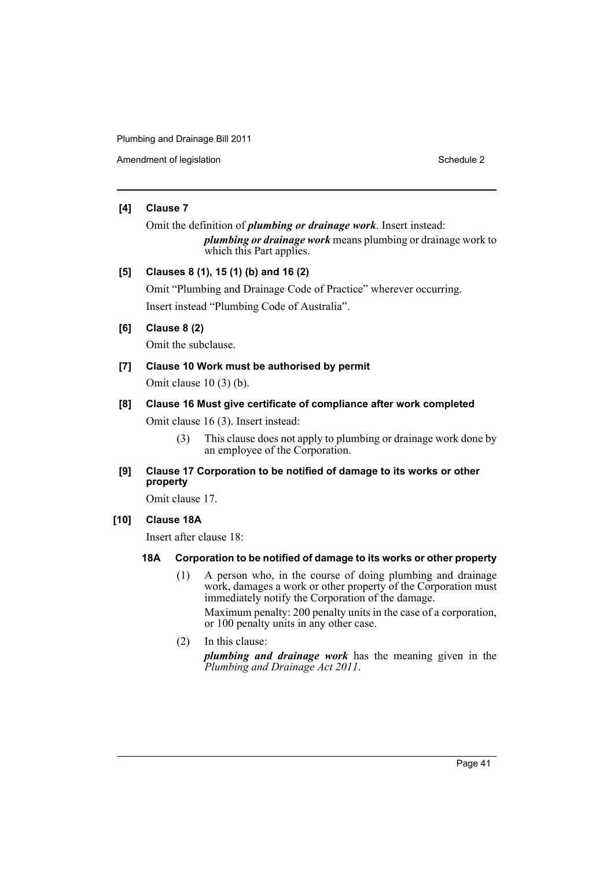Amendment of legislation **Schedule 2** Schedule 2

### **[4] Clause 7**

Omit the definition of *plumbing or drainage work*. Insert instead: *plumbing or drainage work* means plumbing or drainage work to which this Part applies.

### **[5] Clauses 8 (1), 15 (1) (b) and 16 (2)**

Omit "Plumbing and Drainage Code of Practice" wherever occurring. Insert instead "Plumbing Code of Australia".

### **[6] Clause 8 (2)**

Omit the subclause.

### **[7] Clause 10 Work must be authorised by permit** Omit clause 10 (3) (b).

### **[8] Clause 16 Must give certificate of compliance after work completed**

Omit clause 16 (3). Insert instead:

- (3) This clause does not apply to plumbing or drainage work done by an employee of the Corporation.
- **[9] Clause 17 Corporation to be notified of damage to its works or other property**

Omit clause 17.

**[10] Clause 18A**

Insert after clause 18:

### **18A Corporation to be notified of damage to its works or other property**

- (1) A person who, in the course of doing plumbing and drainage work, damages a work or other property of the Corporation must immediately notify the Corporation of the damage. Maximum penalty: 200 penalty units in the case of a corporation, or 100 penalty units in any other case.
- (2) In this clause: *plumbing and drainage work* has the meaning given in the *Plumbing and Drainage Act 2011*.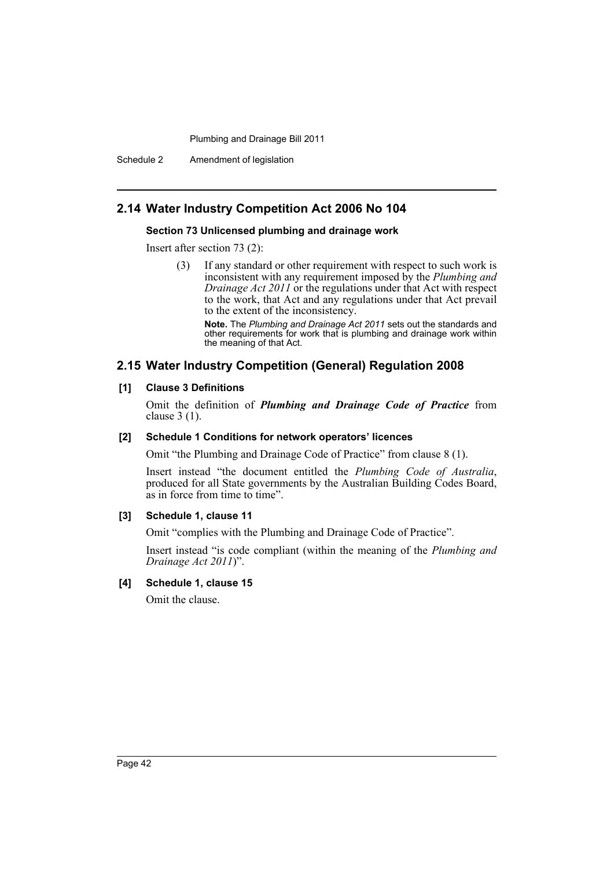Schedule 2 Amendment of legislation

### **2.14 Water Industry Competition Act 2006 No 104**

#### **Section 73 Unlicensed plumbing and drainage work**

Insert after section 73 (2):

(3) If any standard or other requirement with respect to such work is inconsistent with any requirement imposed by the *Plumbing and Drainage Act 2011* or the regulations under that Act with respect to the work, that Act and any regulations under that Act prevail to the extent of the inconsistency.

**Note.** The *Plumbing and Drainage Act 2011* sets out the standards and other requirements for work that is plumbing and drainage work within the meaning of that Act.

### **2.15 Water Industry Competition (General) Regulation 2008**

#### **[1] Clause 3 Definitions**

Omit the definition of *Plumbing and Drainage Code of Practice* from clause 3 (1).

#### **[2] Schedule 1 Conditions for network operators' licences**

Omit "the Plumbing and Drainage Code of Practice" from clause 8 (1).

Insert instead "the document entitled the *Plumbing Code of Australia*, produced for all State governments by the Australian Building Codes Board, as in force from time to time".

#### **[3] Schedule 1, clause 11**

Omit "complies with the Plumbing and Drainage Code of Practice".

Insert instead "is code compliant (within the meaning of the *Plumbing and Drainage Act 2011*)".

### **[4] Schedule 1, clause 15**

Omit the clause.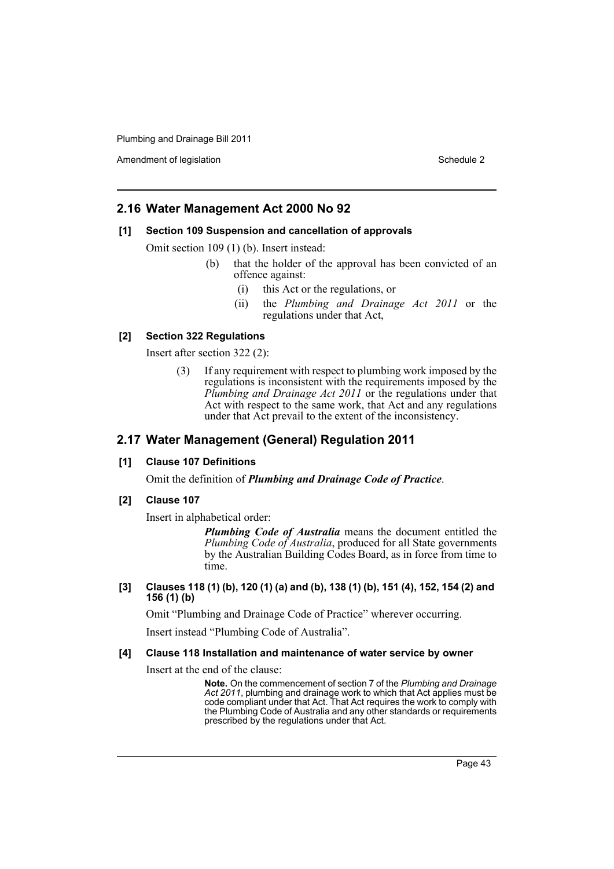Amendment of legislation New York 1999 and 2008 and 2009 and 2009 and 2009 and 2009 and 2009 and 2009 and 2009  $\mu$ 

### **2.16 Water Management Act 2000 No 92**

#### **[1] Section 109 Suspension and cancellation of approvals**

Omit section 109 (1) (b). Insert instead:

- (b) that the holder of the approval has been convicted of an offence against:
	- (i) this Act or the regulations, or
	- (ii) the *Plumbing and Drainage Act 2011* or the regulations under that Act,

#### **[2] Section 322 Regulations**

Insert after section 322 (2):

(3) If any requirement with respect to plumbing work imposed by the regulations is inconsistent with the requirements imposed by the *Plumbing and Drainage Act 2011* or the regulations under that Act with respect to the same work, that Act and any regulations under that Act prevail to the extent of the inconsistency.

### **2.17 Water Management (General) Regulation 2011**

### **[1] Clause 107 Definitions**

Omit the definition of *Plumbing and Drainage Code of Practice*.

**[2] Clause 107**

Insert in alphabetical order:

*Plumbing Code of Australia* means the document entitled the *Plumbing Code of Australia*, produced for all State governments by the Australian Building Codes Board, as in force from time to time.

**[3] Clauses 118 (1) (b), 120 (1) (a) and (b), 138 (1) (b), 151 (4), 152, 154 (2) and 156 (1) (b)**

Omit "Plumbing and Drainage Code of Practice" wherever occurring.

Insert instead "Plumbing Code of Australia".

#### **[4] Clause 118 Installation and maintenance of water service by owner**

Insert at the end of the clause:

**Note.** On the commencement of section 7 of the *Plumbing and Drainage Act 2011*, plumbing and drainage work to which that Act applies must be code compliant under that Act. That Act requires the work to comply with the Plumbing Code of Australia and any other standards or requirements prescribed by the regulations under that Act.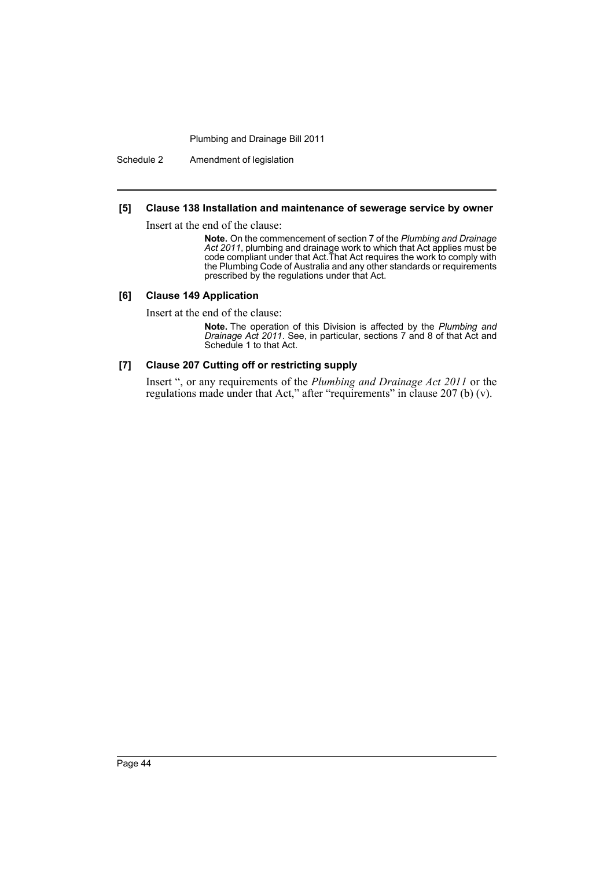Schedule 2 Amendment of legislation

### **[5] Clause 138 Installation and maintenance of sewerage service by owner**

Insert at the end of the clause:

**Note.** On the commencement of section 7 of the *Plumbing and Drainage Act 2011*, plumbing and drainage work to which that Act applies must be code compliant under that Act.That Act requires the work to comply with the Plumbing Code of Australia and any other standards or requirements prescribed by the regulations under that Act.

#### **[6] Clause 149 Application**

Insert at the end of the clause:

**Note.** The operation of this Division is affected by the *Plumbing and Drainage Act 2011*. See, in particular, sections 7 and 8 of that Act and Schedule 1 to that Act.

#### **[7] Clause 207 Cutting off or restricting supply**

Insert ", or any requirements of the *Plumbing and Drainage Act 2011* or the regulations made under that Act," after "requirements" in clause 207 (b) (v).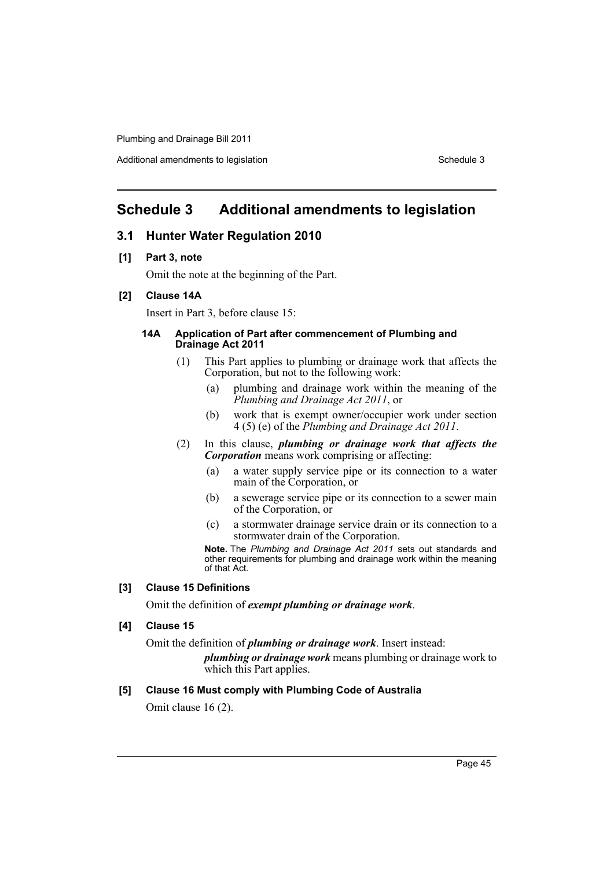Additional amendments to legislation Schedule 3 and Schedule 3 and Schedule 3 and Schedule 3

### <span id="page-48-0"></span>**Schedule 3 Additional amendments to legislation**

### **3.1 Hunter Water Regulation 2010**

### **[1] Part 3, note**

Omit the note at the beginning of the Part.

### **[2] Clause 14A**

Insert in Part 3, before clause 15:

#### **14A Application of Part after commencement of Plumbing and Drainage Act 2011**

- (1) This Part applies to plumbing or drainage work that affects the Corporation, but not to the following work:
	- (a) plumbing and drainage work within the meaning of the *Plumbing and Drainage Act 2011*, or
	- (b) work that is exempt owner/occupier work under section 4 (5) (e) of the *Plumbing and Drainage Act 2011*.
- (2) In this clause, *plumbing or drainage work that affects the Corporation* means work comprising or affecting:
	- (a) a water supply service pipe or its connection to a water main of the Corporation, or
	- (b) a sewerage service pipe or its connection to a sewer main of the Corporation, or
	- (c) a stormwater drainage service drain or its connection to a stormwater drain of the Corporation.

**Note.** The *Plumbing and Drainage Act 2011* sets out standards and other requirements for plumbing and drainage work within the meaning of that Act.

#### **[3] Clause 15 Definitions**

Omit the definition of *exempt plumbing or drainage work*.

### **[4] Clause 15**

Omit the definition of *plumbing or drainage work*. Insert instead:

*plumbing or drainage work* means plumbing or drainage work to which this Part applies.

#### **[5] Clause 16 Must comply with Plumbing Code of Australia**

Omit clause 16 (2).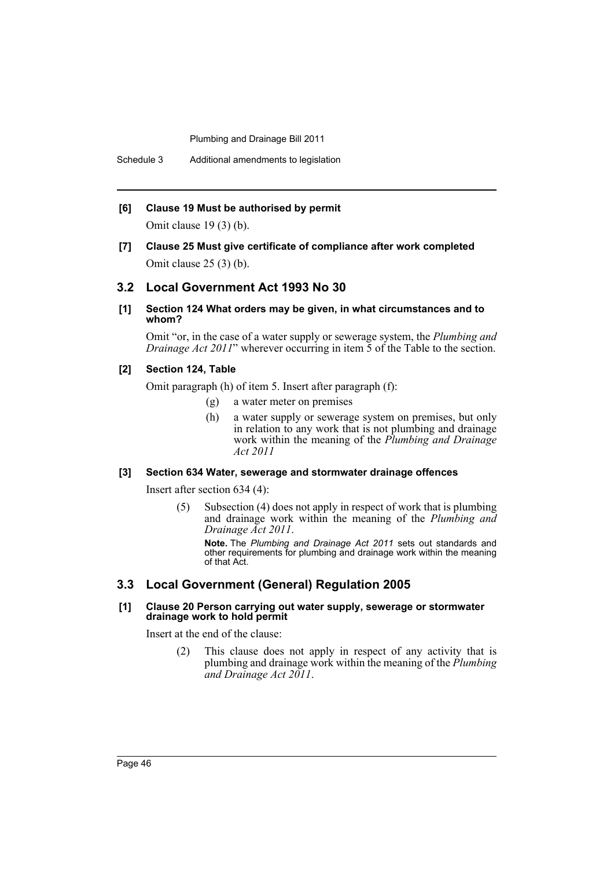Schedule 3 Additional amendments to legislation

#### **[6] Clause 19 Must be authorised by permit**

Omit clause 19 (3) (b).

**[7] Clause 25 Must give certificate of compliance after work completed** Omit clause 25 (3) (b).

### **3.2 Local Government Act 1993 No 30**

**[1] Section 124 What orders may be given, in what circumstances and to whom?**

Omit "or, in the case of a water supply or sewerage system, the *Plumbing and Drainage Act 2011*" wherever occurring in item 5 of the Table to the section.

#### **[2] Section 124, Table**

Omit paragraph (h) of item 5. Insert after paragraph (f):

- (g) a water meter on premises
- (h) a water supply or sewerage system on premises, but only in relation to any work that is not plumbing and drainage work within the meaning of the *Plumbing and Drainage Act 2011*

#### **[3] Section 634 Water, sewerage and stormwater drainage offences**

Insert after section 634 (4):

(5) Subsection (4) does not apply in respect of work that is plumbing and drainage work within the meaning of the *Plumbing and Drainage Act 2011*.

**Note.** The *Plumbing and Drainage Act 2011* sets out standards and other requirements for plumbing and drainage work within the meaning of that Act.

### **3.3 Local Government (General) Regulation 2005**

#### **[1] Clause 20 Person carrying out water supply, sewerage or stormwater drainage work to hold permit**

Insert at the end of the clause:

(2) This clause does not apply in respect of any activity that is plumbing and drainage work within the meaning of the *Plumbing and Drainage Act 2011*.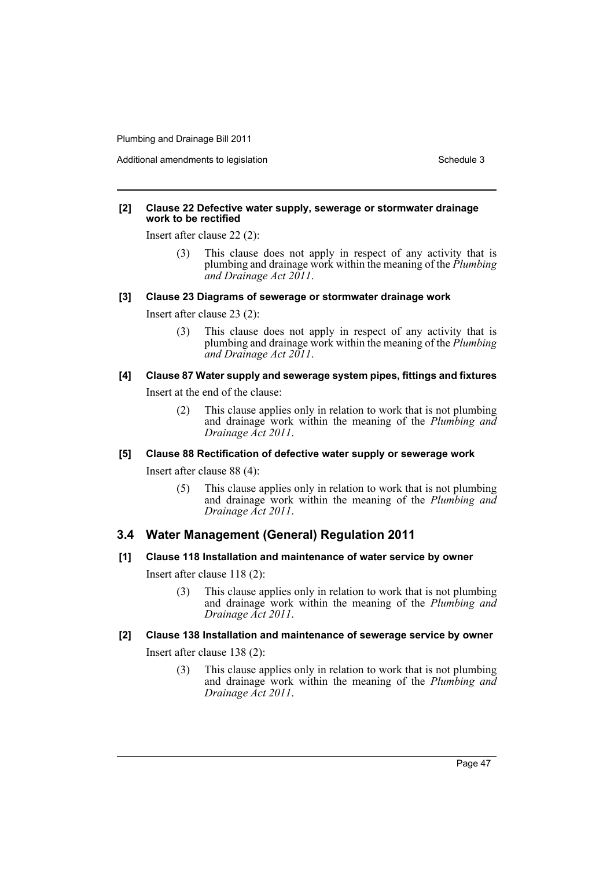Additional amendments to legislation Schedule 3 and Schedule 3 and Schedule 3 and Schedule 3

#### **[2] Clause 22 Defective water supply, sewerage or stormwater drainage work to be rectified**

Insert after clause 22 (2):

(3) This clause does not apply in respect of any activity that is plumbing and drainage work within the meaning of the *Plumbing and Drainage Act 2011*.

#### **[3] Clause 23 Diagrams of sewerage or stormwater drainage work**

Insert after clause 23 (2):

(3) This clause does not apply in respect of any activity that is plumbing and drainage work within the meaning of the *Plumbing and Drainage Act 2011*.

### **[4] Clause 87 Water supply and sewerage system pipes, fittings and fixtures**

Insert at the end of the clause:

(2) This clause applies only in relation to work that is not plumbing and drainage work within the meaning of the *Plumbing and Drainage Act 2011*.

#### **[5] Clause 88 Rectification of defective water supply or sewerage work**

Insert after clause 88 (4):

(5) This clause applies only in relation to work that is not plumbing and drainage work within the meaning of the *Plumbing and Drainage Act 2011*.

### **3.4 Water Management (General) Regulation 2011**

#### **[1] Clause 118 Installation and maintenance of water service by owner**

Insert after clause 118 (2):

(3) This clause applies only in relation to work that is not plumbing and drainage work within the meaning of the *Plumbing and Drainage Act 2011*.

### **[2] Clause 138 Installation and maintenance of sewerage service by owner**

Insert after clause 138 (2):

(3) This clause applies only in relation to work that is not plumbing and drainage work within the meaning of the *Plumbing and Drainage Act 2011*.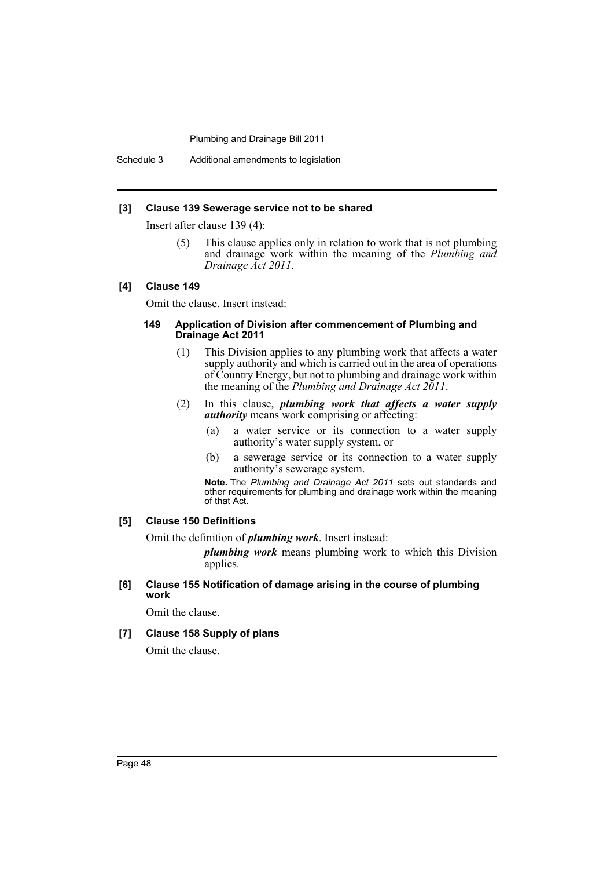Schedule 3 Additional amendments to legislation

#### **[3] Clause 139 Sewerage service not to be shared**

Insert after clause 139 (4):

(5) This clause applies only in relation to work that is not plumbing and drainage work within the meaning of the *Plumbing and Drainage Act 2011*.

#### **[4] Clause 149**

Omit the clause. Insert instead:

#### **149 Application of Division after commencement of Plumbing and Drainage Act 2011**

- (1) This Division applies to any plumbing work that affects a water supply authority and which is carried out in the area of operations of Country Energy, but not to plumbing and drainage work within the meaning of the *Plumbing and Drainage Act 2011*.
- (2) In this clause, *plumbing work that affects a water supply authority* means work comprising or affecting:
	- (a) a water service or its connection to a water supply authority's water supply system, or
	- (b) a sewerage service or its connection to a water supply authority's sewerage system.

**Note.** The *Plumbing and Drainage Act 2011* sets out standards and other requirements for plumbing and drainage work within the meaning of that Act.

#### **[5] Clause 150 Definitions**

Omit the definition of *plumbing work*. Insert instead:

*plumbing work* means plumbing work to which this Division applies.

**[6] Clause 155 Notification of damage arising in the course of plumbing work**

Omit the clause.

**[7] Clause 158 Supply of plans**

Omit the clause.